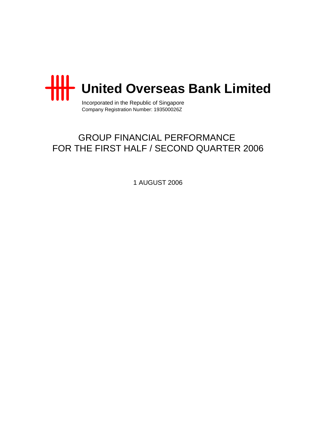

Incorporated in the Republic of Singapore Company Registration Number: 193500026Z

# GROUP FINANCIAL PERFORMANCE FOR THE FIRST HALF / SECOND QUARTER 2006

1 AUGUST 2006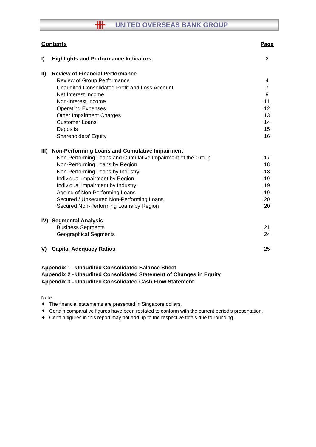# **HH UNITED OVERSEAS BANK GROUP**

|               | <b>Contents</b>                                                                                                                                                                                  | Page           |
|---------------|--------------------------------------------------------------------------------------------------------------------------------------------------------------------------------------------------|----------------|
| I)            | <b>Highlights and Performance Indicators</b>                                                                                                                                                     | $\overline{2}$ |
| $\mathbf{II}$ | <b>Review of Financial Performance</b>                                                                                                                                                           |                |
|               | Review of Group Performance                                                                                                                                                                      | 4              |
|               | Unaudited Consolidated Profit and Loss Account                                                                                                                                                   | $\overline{7}$ |
|               | Net Interest Income                                                                                                                                                                              | 9              |
|               | Non-Interest Income                                                                                                                                                                              | 11             |
|               | <b>Operating Expenses</b>                                                                                                                                                                        | 12             |
|               | <b>Other Impairment Charges</b>                                                                                                                                                                  | 13             |
|               | <b>Customer Loans</b>                                                                                                                                                                            | 14             |
|               | Deposits                                                                                                                                                                                         | 15             |
|               | <b>Shareholders' Equity</b>                                                                                                                                                                      | 16             |
| III)          | Non-Performing Loans and Cumulative Impairment                                                                                                                                                   |                |
|               | Non-Performing Loans and Cumulative Impairment of the Group                                                                                                                                      | 17             |
|               | Non-Performing Loans by Region                                                                                                                                                                   | 18             |
|               | Non-Performing Loans by Industry                                                                                                                                                                 | 18             |
|               | Individual Impairment by Region                                                                                                                                                                  | 19             |
|               | Individual Impairment by Industry                                                                                                                                                                | 19             |
|               | Ageing of Non-Performing Loans                                                                                                                                                                   | 19             |
|               | Secured / Unsecured Non-Performing Loans                                                                                                                                                         | 20             |
|               | Secured Non-Performing Loans by Region                                                                                                                                                           | 20             |
|               | IV) Segmental Analysis                                                                                                                                                                           |                |
|               | <b>Business Segments</b>                                                                                                                                                                         | 21             |
|               | <b>Geographical Segments</b>                                                                                                                                                                     | 24             |
| V)            | <b>Capital Adequacy Ratios</b>                                                                                                                                                                   | 25             |
|               | <b>Appendix 1 - Unaudited Consolidated Balance Sheet</b><br>Appendix 2 - Unaudited Consolidated Statement of Changes in Equity<br><b>Appendix 3 - Unaudited Consolidated Cash Flow Statement</b> |                |

Note:

- The financial statements are presented in Singapore dollars.
- Certain comparative figures have been restated to conform with the current period's presentation.
- Certain figures in this report may not add up to the respective totals due to rounding.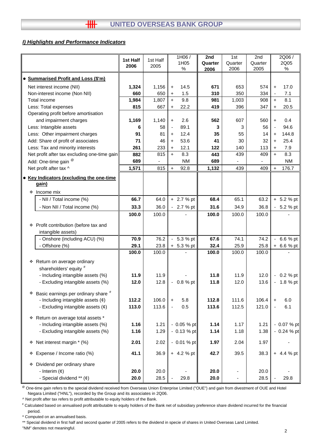## *I) Highlights and Performance Indicators*

|   |                                              |          |          | 1H06/                            | 2nd<br>1st |         | 2nd     | 2Q06/                           |  |
|---|----------------------------------------------|----------|----------|----------------------------------|------------|---------|---------|---------------------------------|--|
|   |                                              | 1st Half | 1st Half | 1H05                             | Quarter    | Quarter | Quarter | 2Q05                            |  |
|   |                                              | 2006     | 2005     | ℅                                | 2006       | 2006    | 2005    | %                               |  |
|   | <b>Summarised Profit and Loss (\$'m)</b>     |          |          |                                  |            |         |         |                                 |  |
|   | Net interest income (NII)                    | 1,324    | 1,156    | 14.5<br>$\ddot{}$                | 671        | 653     | 574     | 17.0<br>$\ddot{}$               |  |
|   | Non-interest income (Non NII)                | 660      | 650      | 1.5<br>$\ddot{}$                 | 310        | 350     | 334     | 7.1<br>$\overline{\phantom{a}}$ |  |
|   | Total income                                 | 1,984    | 1,807    | 9.8<br>$+$                       | 981        | 1,003   | 908     | 8.1<br>$+$                      |  |
|   | Less: Total expenses                         | 815      | 667      | 22.2<br>$+$                      | 419        | 396     | 347     | 20.5<br>$\ddot{}$               |  |
|   | Operating profit before amortisation         |          |          |                                  |            |         |         |                                 |  |
|   | and impairment charges                       | 1,169    | 1,140    | 2.6<br>$+$                       | 562        | 607     | 560     | 0.4<br>$\ddot{}$                |  |
|   | Less: Intangible assets                      | 6        | 58       | 89.1<br>$\overline{\phantom{a}}$ | 3          | 3       | 56      | 94.6                            |  |
|   | Less: Other impairment charges               | 91       | 81       | 12.4<br>$\ddot{}$                | 35         | 55      | 14      | 144.8<br>$\ddot{}$              |  |
|   | Add: Share of profit of associates           | 71       | 46       | 53.6<br>$\ddot{}$                | 41         | 30      | 32      | 25.4<br>$\ddot{}$               |  |
|   | Less: Tax and minority interests             | 261      | 233      | 12.1                             | 122        | 140     | 113     | 7.9                             |  |
|   | Net profit after tax excluding one-time gain | 882      | 815      | $\ddot{}$<br>8.3<br>$+$          | 443        | 439     | 409     | $\ddot{}$<br>8.3<br>$+$         |  |
|   |                                              |          |          | <b>NM</b>                        | 689        |         |         | <b>NM</b>                       |  |
|   | Add: One-time gain <sup>@</sup>              | 689      |          |                                  |            |         |         |                                 |  |
|   | Net profit after tax ^                       | 1,571    | 815      | 92.8<br>$\ddot{}$                | 1,132      | 439     | 409     | 176.7<br>$+$                    |  |
|   | • Key Indicators (excluding the one-time     |          |          |                                  |            |         |         |                                 |  |
|   | gain)                                        |          |          |                                  |            |         |         |                                 |  |
|   | ❖ Income mix                                 |          |          |                                  |            |         |         |                                 |  |
|   | - NII / Total income (%)                     | 66.7     | 64.0     | + 2.7 % pt                       | 68.4       | 65.1    | 63.2    | $+ 5.2 %$ pt                    |  |
|   | - Non NII / Total income (%)                 | 33.3     | 36.0     | $-2.7%$ pt                       | 31.6       | 34.9    | 36.8    | $-5.2 %$ pt                     |  |
|   |                                              |          |          |                                  |            |         |         |                                 |  |
|   |                                              | 100.0    | 100.0    |                                  | 100.0      | 100.0   | 100.0   |                                 |  |
|   | ❖ Profit contribution (before tax and        |          |          |                                  |            |         |         |                                 |  |
|   | intangible assets)                           |          |          |                                  |            |         |         |                                 |  |
|   | - Onshore (including ACU) (%)                | 70.9     | 76.2     | $-5.3%$ pt                       | 67.6       | 74.1    | 74.2    | 6.6 % pt                        |  |
|   | - Offshore (%)                               | 29.1     | 23.8     | $+ 5.3 %$ pt                     | 32.4       | 25.9    | 25.8    | $+ 6.6 %$ pt                    |  |
|   |                                              | 100.0    | 100.0    |                                  | 100.0      | 100.0   | 100.0   |                                 |  |
|   |                                              |          |          |                                  |            |         |         |                                 |  |
|   | * Return on average ordinary                 |          |          |                                  |            |         |         |                                 |  |
|   | shareholders' equity #                       |          |          |                                  |            |         |         |                                 |  |
|   | - Including intangible assets (%)            | 11.9     | 11.9     |                                  | 11.8       | 11.9    | 12.0    | $-0.2 \%$ pt                    |  |
|   | - Excluding intangible assets (%)            | 12.0     | 12.8     | $-0.8 \%$ pt                     | 11.8       | 12.0    | 13.6    | 1.8 % pt                        |  |
| ۰ | Basic earnings per ordinary share #          |          |          |                                  |            |         |         |                                 |  |
|   | - Including intangible assets $(\phi)$       | 112.2    | 106.0    | 5.8<br>$\ddot{}$                 | 112.8      | 111.6   | 106.4   | 6.0<br>$\ddot{}$                |  |
|   | - Excluding intangible assets $(\phi)$       | 113.0    | 113.6    | 0.5<br>$\blacksquare$            | 113.6      | 112.5   | 121.0   | 6.1                             |  |
|   |                                              |          |          |                                  |            |         |         |                                 |  |
|   | * Return on average total assets *           |          |          |                                  |            |         |         |                                 |  |
|   | - Including intangible assets (%)            | 1.16     | 1.21     | $-0.05%$ pt                      | 1.14       | 1.17    | 1.21    | - 0.07 % pt                     |  |
|   | - Excluding intangible assets (%)            | 1.16     | 1.29     | $-0.13 \%$ pt                    | 1.14       | 1.18    | 1.38    | $-0.24%$ pt                     |  |
|   |                                              |          |          |                                  |            |         |         |                                 |  |
|   | * Net interest margin * (%)                  | 2.01     | 2.02     | $-0.01%$ pt                      | 1.97       | 2.04    | 1.97    |                                 |  |
|   | * Expense / Income ratio (%)                 | 41.1     | 36.9     | $+ 4.2 %$ pt                     | 42.7       | 39.5    | 38.3    | $+ 4.4 %$ pt                    |  |
|   |                                              |          |          |                                  |            |         |         |                                 |  |
|   | Dividend per ordinary share                  |          |          |                                  |            |         |         |                                 |  |
|   | - Interim $(\phi)$                           | 20.0     | 20.0     |                                  | 20.0       |         | 20.0    |                                 |  |
|   | - Special dividend ** (¢)                    | 20.0     | 28.5     | 29.8                             | 20.0       |         | 28.5    | 29.8                            |  |

<sup>®</sup> One-time gain refers to the special dividend received from Overseas Union Enterprise Limited ("OUE") and gain from divestment of OUE and Hotel Negara Limited ("HNL"), recorded by the Group and its associates in 2Q06.

^ Net profit after tax refers to profit attributable to equity holders of the Bank.

# Calculated based on annualised profit attributable to equity holders of the Bank net of subsidiary preference share dividend incurred for the financial period.

\* Computed on an annualised basis.

\*\* Special dividend in first half and second quarter of 2005 refers to the dividend in specie of shares in United Overseas Land Limited. "NM" denotes not meaningful.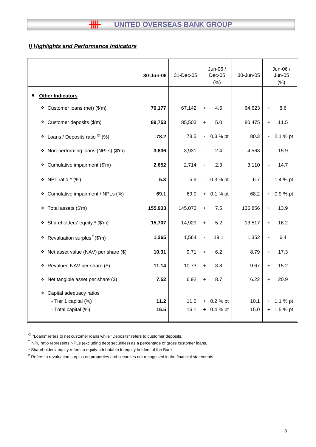# *I) Highlights and Performance Indicators*

|                                                                             | 30-Jun-06    | 31-Dec-05    | Jun-06 /<br>$Dec-05$<br>(% )       | 30-Jun-05    | Jun-06 /<br><b>Jun-05</b><br>(% )              |
|-----------------------------------------------------------------------------|--------------|--------------|------------------------------------|--------------|------------------------------------------------|
| <b>Other Indicators</b>                                                     |              |              |                                    |              |                                                |
| * Customer loans (net) (\$'m)                                               | 70,177       | 67,142       | 4.5<br>$+$                         | 64,623       | 8.6<br>$\ddot{}$                               |
| Customer deposits (\$'m)<br>۰                                               | 89,753       | 85,503       | 5.0<br>$\ddot{}$                   | 80,475       | 11.5<br>$\ddot{}$                              |
| Loans / Deposits ratio $^\circledR$ (%)<br>٠                                | 78.2         | 78.5         | 0.3 % pt<br>$\blacksquare$         | 80.3         | 2.1 % pt<br>$\blacksquare$                     |
| Non-performing loans (NPLs) (\$'m)<br>❖                                     | 3,836        | 3,931        | 2.4                                | 4,563        | 15.9                                           |
| Cumulative impairment (\$'m)<br>۰                                           | 2,652        | 2,714        | 2.3                                | 3,110        | 14.7                                           |
| NPL ratio $\wedge$ (%)<br>۰                                                 | 5.3          | 5.6          | 0.3 % pt<br>$\blacksquare$         | 6.7          | 1.4 % pt                                       |
| Cumulative impairment / NPLs (%)<br>۰                                       | 69.1         | 69.0         | $+ 0.1 %$ pt                       | 68.2         | 0.9 % pt<br>$+$                                |
| Total assets (\$'m)<br>۰                                                    | 155,933      | 145,073      | 7.5<br>$+$                         | 136,856      | 13.9<br>$\ddagger$                             |
| Shareholders' equity * (\$'m)<br>٠                                          | 15,707       | 14,929       | 5.2<br>$+$                         | 13,517       | 16.2<br>$\ddag$                                |
| Revaluation surplus $#$ (\$'m)<br>۰                                         | 1,265        | 1,564        | 19.1                               | 1,352        | 6.4                                            |
| Net asset value (NAV) per share (\$)<br>٠                                   | 10.31        | 9.71         | 6.2<br>$\ddot{}$                   | 8.79         | 17.3<br>$\ddot{}$                              |
| Revalued NAV per share (\$)<br>❖                                            | 11.14        | 10.73        | 3.8<br>$\ddot{}$                   | 9.67         | 15.2<br>$\ddot{}$                              |
| Net tangible asset per share (\$)<br>❖                                      | 7.52         | 6.92         | 8.7<br>$+$                         | 6.22         | 20.9<br>$+$                                    |
| Capital adequacy ratios<br>❖<br>- Tier 1 capital (%)<br>- Total capital (%) | 11.2<br>16.5 | 11.0<br>16.1 | 0.2 % pt<br>$+$<br>0.4 % pt<br>$+$ | 10.1<br>15.0 | 1.1 % pt<br>$\ddot{}$<br>1.5 % pt<br>$\ddot{}$ |

 $^{\circledR}$  "Loans" refers to net customer loans while "Deposits" refers to customer deposits.

^ NPL ratio represents NPLs (excluding debt securities) as a percentage of gross customer loans.

\* Shareholders' equity refers to equity attributable to equity holders of the Bank.

# Refers to revaluation surplus on properties and securities not recognised in the financial statements.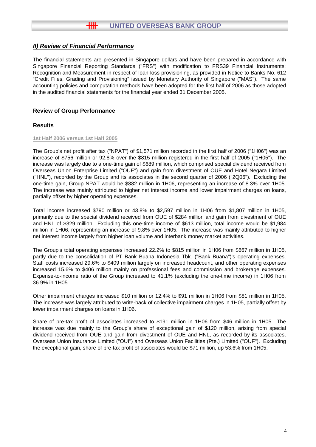The financial statements are presented in Singapore dollars and have been prepared in accordance with Singapore Financial Reporting Standards ("FRS") with modification to FRS39 Financial Instruments: Recognition and Measurement in respect of loan loss provisioning, as provided in Notice to Banks No. 612 "Credit Files, Grading and Provisioning" issued by Monetary Authority of Singapore ("MAS"). The same accounting policies and computation methods have been adopted for the first half of 2006 as those adopted in the audited financial statements for the financial year ended 31 December 2005.

## **Review of Group Performance**

## **Results**

#### **1st Half 2006 versus 1st Half 2005**

The Group's net profit after tax ("NPAT") of \$1,571 million recorded in the first half of 2006 ("1H06") was an increase of \$756 million or 92.8% over the \$815 million registered in the first half of 2005 ("1H05"). The increase was largely due to a one-time gain of \$689 million, which comprised special dividend received from Overseas Union Enterprise Limited ("OUE") and gain from divestment of OUE and Hotel Negara Limited ("HNL"), recorded by the Group and its associates in the second quarter of 2006 ("2Q06"). Excluding the one-time gain, Group NPAT would be \$882 million in 1H06, representing an increase of 8.3% over 1H05. The increase was mainly attributed to higher net interest income and lower impairment charges on loans, partially offset by higher operating expenses.

Total income increased \$790 million or 43.8% to \$2,597 million in 1H06 from \$1,807 million in 1H05, primarily due to the special dividend received from OUE of \$284 million and gain from divestment of OUE and HNL of \$329 million. Excluding this one-time income of \$613 million, total income would be \$1,984 million in 1H06, representing an increase of 9.8% over 1H05. The increase was mainly attributed to higher net interest income largely from higher loan volume and interbank money market activities.

The Group's total operating expenses increased 22.2% to \$815 million in 1H06 from \$667 million in 1H05, partly due to the consolidation of PT Bank Buana Indonesia Tbk. ("Bank Buana")'s operating expenses. Staff costs increased 29.6% to \$409 million largely on increased headcount, and other operating expenses increased 15.6% to \$406 million mainly on professional fees and commission and brokerage expenses. Expense-to-income ratio of the Group increased to 41.1% (excluding the one-time income) in 1H06 from 36.9% in 1H05.

Other impairment charges increased \$10 million or 12.4% to \$91 million in 1H06 from \$81 million in 1H05. The increase was largely attributed to write-back of collective impairment charges in 1H05, partially offset by lower impairment charges on loans in 1H06.

Share of pre-tax profit of associates increased to \$191 million in 1H06 from \$46 million in 1H05. The increase was due mainly to the Group's share of exceptional gain of \$120 million, arising from special dividend received from OUE and gain from divestment of OUE and HNL, as recorded by its associates, Overseas Union Insurance Limited ("OUI") and Overseas Union Facilities (Pte.) Limited ("OUF"). Excluding the exceptional gain, share of pre-tax profit of associates would be \$71 million, up 53.6% from 1H05.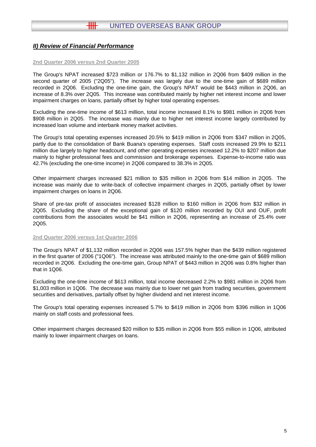#### **2nd Quarter 2006 versus 2nd Quarter 2005**

The Group's NPAT increased \$723 million or 176.7% to \$1,132 million in 2Q06 from \$409 million in the second quarter of 2005 ("2Q05"). The increase was largely due to the one-time gain of \$689 million recorded in 2Q06. Excluding the one-time gain, the Group's NPAT would be \$443 million in 2Q06, an increase of 8.3% over 2Q05. This increase was contributed mainly by higher net interest income and lower impairment charges on loans, partially offset by higher total operating expenses.

Excluding the one-time income of \$613 million, total income increased 8.1% to \$981 million in 2Q06 from \$908 million in 2Q05. The increase was mainly due to higher net interest income largely contributed by increased loan volume and interbank money market activities.

The Group's total operating expenses increased 20.5% to \$419 million in 2Q06 from \$347 million in 2Q05, partly due to the consolidation of Bank Buana's operating expenses. Staff costs increased 29.9% to \$211 million due largely to higher headcount, and other operating expenses increased 12.2% to \$207 million due mainly to higher professional fees and commission and brokerage expenses. Expense-to-income ratio was 42.7% (excluding the one-time income) in 2Q06 compared to 38.3% in 2Q05.

Other impairment charges increased \$21 million to \$35 million in 2Q06 from \$14 million in 2Q05. The increase was mainly due to write-back of collective impairment charges in 2Q05, partially offset by lower impairment charges on loans in 2Q06.

Share of pre-tax profit of associates increased \$128 million to \$160 million in 2Q06 from \$32 million in 2Q05. Excluding the share of the exceptional gain of \$120 million recorded by OUI and OUF, profit contributions from the associates would be \$41 million in 2Q06, representing an increase of 25.4% over 2Q05.

#### **2nd Quarter 2006 versus 1st Quarter 2006**

The Group's NPAT of \$1,132 million recorded in 2Q06 was 157.5% higher than the \$439 million registered in the first quarter of 2006 ("1Q06"). The increase was attributed mainly to the one-time gain of \$689 million recorded in 2Q06. Excluding the one-time gain, Group NPAT of \$443 million in 2Q06 was 0.8% higher than that in 1Q06.

Excluding the one-time income of \$613 million, total income decreased 2.2% to \$981 million in 2Q06 from \$1,003 million in 1Q06. The decrease was mainly due to lower net gain from trading securities, government securities and derivatives, partially offset by higher dividend and net interest income.

The Group's total operating expenses increased 5.7% to \$419 million in 2Q06 from \$396 million in 1Q06 mainly on staff costs and professional fees.

Other impairment charges decreased \$20 million to \$35 million in 2Q06 from \$55 million in 1Q06, attributed mainly to lower impairment charges on loans.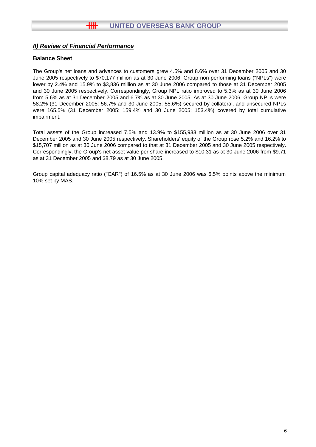## **Balance Sheet**

The Group's net loans and advances to customers grew 4.5% and 8.6% over 31 December 2005 and 30 June 2005 respectively to \$70,177 million as at 30 June 2006. Group non-performing loans ("NPLs") were lower by 2.4% and 15.9% to \$3,836 million as at 30 June 2006 compared to those at 31 December 2005 and 30 June 2005 respectively. Correspondingly, Group NPL ratio improved to 5.3% as at 30 June 2006 from 5.6% as at 31 December 2005 and 6.7% as at 30 June 2005. As at 30 June 2006, Group NPLs were 58.2% (31 December 2005: 56.7% and 30 June 2005: 55.6%) secured by collateral, and unsecured NPLs were 165.5% (31 December 2005: 159.4% and 30 June 2005: 153.4%) covered by total cumulative impairment.

Total assets of the Group increased 7.5% and 13.9% to \$155,933 million as at 30 June 2006 over 31 December 2005 and 30 June 2005 respectively. Shareholders' equity of the Group rose 5.2% and 16.2% to \$15,707 million as at 30 June 2006 compared to that at 31 December 2005 and 30 June 2005 respectively. Correspondingly, the Group's net asset value per share increased to \$10.31 as at 30 June 2006 from \$9.71 as at 31 December 2005 and \$8.79 as at 30 June 2005.

Group capital adequacy ratio ("CAR") of 16.5% as at 30 June 2006 was 6.5% points above the minimum 10% set by MAS.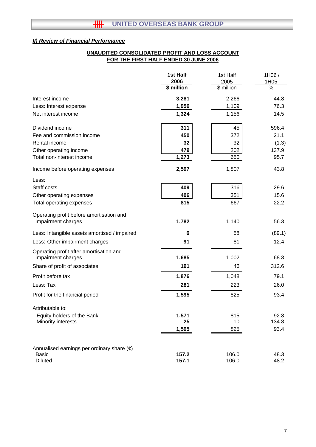## **FOR THE FIRST HALF ENDED 30 JUNE 2006 UNAUDITED CONSOLIDATED PROFIT AND LOSS ACCOUNT**

|                                                               | 1st Half<br>2006 | 1st Half<br>2005 | 1H06/<br>1H05 |
|---------------------------------------------------------------|------------------|------------------|---------------|
|                                                               | \$ million       | \$ million       | $\frac{0}{6}$ |
| Interest income                                               | 3,281            | 2,266            | 44.8          |
| Less: Interest expense                                        | 1,956            | 1,109            | 76.3          |
| Net interest income                                           | 1,324            | 1,156            | 14.5          |
| Dividend income                                               | 311              | 45               | 596.4         |
| Fee and commission income                                     | 450              | 372              | 21.1          |
| Rental income                                                 | 32               | 32               | (1.3)         |
| Other operating income                                        | 479              | 202              | 137.9         |
| Total non-interest income                                     | 1,273            | 650              | 95.7          |
| Income before operating expenses                              | 2,597            | 1,807            | 43.8          |
| Less:                                                         |                  |                  |               |
| Staff costs                                                   | 409              | 316              | 29.6          |
| Other operating expenses                                      | 406              | 351              | 15.6          |
| Total operating expenses                                      | 815              | 667              | 22.2          |
| Operating profit before amortisation and                      |                  |                  |               |
| impairment charges                                            | 1,782            | 1,140            | 56.3          |
| Less: Intangible assets amortised / impaired                  | 6                | 58               | (89.1)        |
| Less: Other impairment charges                                | 91               | 81               | 12.4          |
| Operating profit after amortisation and<br>impairment charges | 1,685            | 1,002            | 68.3          |
| Share of profit of associates                                 | 191              | 46               | 312.6         |
| Profit before tax                                             | 1,876            | 1,048            | 79.1          |
| Less: Tax                                                     | 281              | 223              | 26.0          |
| Profit for the financial period                               | 1,595            | 825              | 93.4          |
| Attributable to:                                              |                  |                  |               |
| Equity holders of the Bank                                    | 1,571            | 815              | 92.8          |
| Minority interests                                            | 25               | 10               | 134.8         |
|                                                               | 1,595            | 825              | 93.4          |
| Annualised earnings per ordinary share $(\phi)$               |                  |                  |               |
| <b>Basic</b>                                                  | 157.2            | 106.0            | 48.3          |
| <b>Diluted</b>                                                | 157.1            | 106.0            | 48.2          |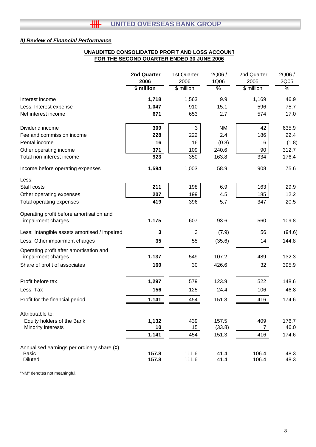#### **UNAUDITED CONSOLIDATED PROFIT AND LOSS ACCOUNT FOR THE SECOND QUARTER ENDED 30 JUNE 2006**

|                                                                | 2nd Quarter<br>2006 | 1st Quarter<br>2006 | 2Q06 /<br>1Q06 | 2nd Quarter<br>2005 | 2Q06 /<br>2Q05 |
|----------------------------------------------------------------|---------------------|---------------------|----------------|---------------------|----------------|
|                                                                | \$ million          | \$ million          | $\frac{1}{6}$  | \$ million          | $\frac{0}{6}$  |
| Interest income                                                | 1,718               | 1,563               | 9.9            | 1,169               | 46.9           |
| Less: Interest expense                                         | 1,047               | 910                 | 15.1           | 596                 | 75.7           |
| Net interest income                                            | 671                 | 653                 | 2.7            | 574                 | 17.0           |
| Dividend income                                                | 309                 | 3                   | <b>NM</b>      | 42                  | 635.9          |
| Fee and commission income                                      | 228                 | 222                 | 2.4            | 186                 | 22.4           |
| Rental income                                                  | 16                  | 16                  | (0.8)          | 16                  | (1.8)          |
| Other operating income                                         | 371                 | 109                 | 240.6          | 90                  | 312.7          |
| Total non-interest income                                      | 923                 | 350                 | 163.8          | 334                 | 176.4          |
| Income before operating expenses                               | 1,594               | 1,003               | 58.9           | 908                 | 75.6           |
| Less:                                                          |                     |                     |                |                     |                |
| Staff costs                                                    | 211                 | 198                 | 6.9            | 163                 | 29.9           |
| Other operating expenses                                       | 207                 | 199                 | 4.5            | 185                 | 12.2           |
| Total operating expenses                                       | 419                 | 396                 | 5.7            | 347                 | 20.5           |
| Operating profit before amortisation and<br>impairment charges | 1,175               | 607                 | 93.6           | 560                 | 109.8          |
| Less: Intangible assets amortised / impaired                   | 3                   | 3                   | (7.9)          | 56                  | (94.6)         |
| Less: Other impairment charges                                 | 35                  | 55                  | (35.6)         | 14                  | 144.8          |
| Operating profit after amortisation and<br>impairment charges  | 1,137               | 549                 | 107.2          | 489                 | 132.3          |
| Share of profit of associates                                  | 160                 | 30                  | 426.6          | 32                  | 395.9          |
| Profit before tax                                              | 1,297               | 579                 | 123.9          | 522                 | 148.6          |
| Less: Tax                                                      | 156                 | 125                 | 24.4           | 106                 | 46.8           |
| Profit for the financial period                                | 1,141               | 454                 | 151.3          | 416                 | 174.6          |
| Attributable to:                                               |                     |                     |                |                     |                |
| Equity holders of the Bank                                     | 1,132               | 439                 | 157.5          | 409                 | 176.7          |
| Minority interests                                             | 10                  | 15                  | (33.8)         | $\overline{7}$      | 46.0           |
|                                                                | 1,141               | 454                 | 151.3          | 416                 | 174.6          |
| Annualised earnings per ordinary share $(\phi)$                |                     |                     |                |                     |                |
| Basic                                                          | 157.8               | 111.6               | 41.4           | 106.4               | 48.3           |
| <b>Diluted</b>                                                 | 157.8               | 111.6               | 41.4           | 106.4               | 48.3           |

"NM" denotes not meaningful.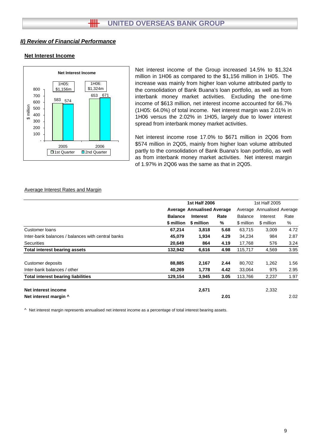#### **Net Interest Income**



Net interest income of the Group increased 14.5% to \$1,324 million in 1H06 as compared to the \$1,156 million in 1H05. The increase was mainly from higher loan volume attributed partly to the consolidation of Bank Buana's loan portfolio, as well as from interbank money market activities. Excluding the one-time income of \$613 million, net interest income accounted for 66.7% (1H05: 64.0%) of total income. Net interest margin was 2.01% in 1H06 versus the 2.02% in 1H05, largely due to lower interest spread from interbank money market activities.

Net interest income rose 17.0% to \$671 million in 2Q06 from \$574 million in 2Q05, mainly from higher loan volume attributed partly to the consolidation of Bank Buana's loan portfolio, as well as from interbank money market activities. Net interest margin of 1.97% in 2Q06 was the same as that in 2Q05.

#### Average Interest Rates and Margin

|                                                   | <b>1st Half 2006</b>              |                 |      |                | 1st Half 2005              |      |  |
|---------------------------------------------------|-----------------------------------|-----------------|------|----------------|----------------------------|------|--|
|                                                   | <b>Average Annualised Average</b> |                 |      |                | Average Annualised Average |      |  |
|                                                   | <b>Balance</b>                    | <b>Interest</b> | Rate | <b>Balance</b> | Interest                   | Rate |  |
|                                                   | \$ million                        | \$ million      | %    | \$ million     | \$ million                 | %    |  |
| Customer loans                                    | 67,214                            | 3,818           | 5.68 | 63,715         | 3,009                      | 4.72 |  |
| Inter-bank balances / balances with central banks | 45,079                            | 1,934           | 4.29 | 34,234         | 984                        | 2.87 |  |
| Securities                                        | 20,649                            | 864             | 4.19 | 17,768         | 576                        | 3.24 |  |
| <b>Total interest bearing assets</b>              | 132,942                           | 6,616           | 4.98 | 115,717        | 4,569                      | 3.95 |  |
| Customer deposits                                 | 88,885                            | 2,167           | 2.44 | 80,702         | 1,262                      | 1.56 |  |
| Inter-bank balances / other                       | 40,269                            | 1,778           | 4.42 | 33,064         | 975                        | 2.95 |  |
| <b>Total interest bearing liabilities</b>         | 129,154                           | 3,945           | 3.05 | 113,766        | 2,237                      | 1.97 |  |
| Net interest income                               |                                   | 2,671           |      |                | 2,332                      |      |  |
| Net interest margin ^                             |                                   |                 | 2.01 |                |                            | 2.02 |  |

^ Net interest margin represents annualised net interest income as a percentage of total interest bearing assets.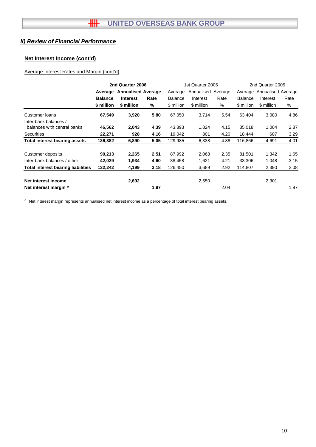## **Net Interest Income (cont'd)**

## Average Interest Rates and Margin (cont'd)

|                                           |                | 2nd Quarter 2006          |      |                | 1st Quarter 2006   |         | 2nd Quarter 2005 |                    |      |
|-------------------------------------------|----------------|---------------------------|------|----------------|--------------------|---------|------------------|--------------------|------|
|                                           | Average        | <b>Annualised Average</b> |      | Average        | Annualised Average | Average |                  | Annualised Average |      |
|                                           | <b>Balance</b> | <b>Interest</b>           | Rate | <b>Balance</b> | Interest           | Rate    | <b>Balance</b>   | Interest           | Rate |
|                                           | \$ million     | \$ million                | %    | \$ million     | \$ million         | %       | \$ million       | \$ million         | %    |
| Customer loans<br>Inter-bank balances /   | 67,549         | 3,920                     | 5.80 | 67,050         | 3,714              | 5.54    | 63.404           | 3,080              | 4.86 |
| balances with central banks               | 46,562         | 2,043                     | 4.39 | 43,893         | 1,824              | 4.15    | 35,018           | 1,004              | 2.87 |
| <b>Securities</b>                         | 22,271         | 928                       | 4.16 | 19,042         | 801                | 4.20    | 18,444           | 607                | 3.29 |
| <b>Total interest bearing assets</b>      | 136,382        | 6,890                     | 5.05 | 129,985        | 6,338              | 4.88    | 116,866          | 4,691              | 4.01 |
| Customer deposits                         | 90,213         | 2,265                     | 2.51 | 87,992         | 2,068              | 2.35    | 81,501           | 1,342              | 1.65 |
| Inter-bank balances / other               | 42,029         | 1,934                     | 4.60 | 38,458         | 1,621              | 4.21    | 33,306           | 1,048              | 3.15 |
| <b>Total interest bearing liabilities</b> | 132,242        | 4,199                     | 3.18 | 126,450        | 3,689              | 2.92    | 114,807          | 2,390              | 2.08 |
| Net interest income                       |                | 2,692                     |      |                | 2,650              |         |                  | 2,301              |      |
| Net interest margin ^                     |                |                           | 1.97 |                |                    | 2.04    |                  |                    | 1.97 |

^ Net interest margin represents annualised net interest income as a percentage of total interest bearing assets.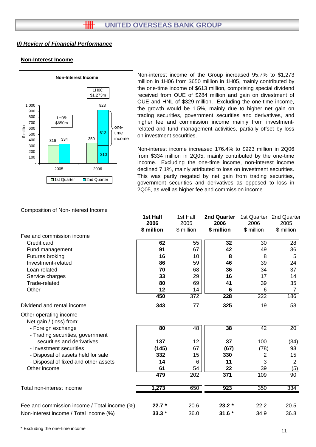## **Non-Interest Income**



Non-interest income of the Group increased 95.7% to \$1,273 million in 1H06 from \$650 million in 1H05, mainly contributed by the one-time income of \$613 million, comprising special dividend received from OUE of \$284 million and gain on divestment of OUE and HNL of \$329 million. Excluding the one-time income, the growth would be 1.5%, mainly due to higher net gain on trading securities, government securities and derivatives, and higher fee and commission income mainly from investmentrelated and fund management activities, partially offset by loss on investment securities.

Non-interest income increased 176.4% to \$923 million in 2Q06 from \$334 million in 2Q05, mainly contributed by the one-time income. Excluding the one-time income, non-interest income declined 7.1%, mainly attributed to loss on investment securities. This was partly negated by net gain from trading securities, government securities and derivatives as opposed to loss in 2Q05, as well as higher fee and commission income.

#### Composition of Non-Interest Income

|                                                        | 1st Half   | 1st Half   | <b>2nd Quarter</b> |            | 1st Quarter 2nd Quarter |
|--------------------------------------------------------|------------|------------|--------------------|------------|-------------------------|
|                                                        | 2006       | 2005       | 2006               | 2006       | 2005                    |
|                                                        | \$ million | \$ million | \$ million         | \$ million | \$ million              |
| Fee and commission income                              |            |            |                    |            |                         |
| Credit card                                            | 62         | 55         | 32                 | 30         | 28                      |
| Fund management                                        | 91         | 67         | 42                 | 49         | 36                      |
| Futures broking                                        | 16         | 10         | 8                  | 8          | 5                       |
| Investment-related                                     | 86         | 59         | 46                 | 39         | 24                      |
| Loan-related                                           | 70         | 68         | 36                 | 34         | 37                      |
| Service charges                                        | 33         | 29         | 16                 | 17         | 14                      |
| Trade-related                                          | 80         | 69         | 41                 | 39         | 35                      |
| Other                                                  | 12         | 14         | 6                  | 6          | 7                       |
|                                                        | 450        | 372        | 228                | 222        | 186                     |
| Dividend and rental income                             | 343        | 77         | 325                | 19         | 58                      |
| Other operating income<br>Net gain / (loss) from:      |            |            |                    |            |                         |
| - Foreign exchange<br>- Trading securities, government | 80         | 48         | 38                 | 42         | 20                      |
| securities and derivatives                             | 137        | 12         | 37                 | 100        | (34)                    |
| - Investment securities                                | (145)      | 67         | (67)               | (78)       | 93                      |
| - Disposal of assets held for sale                     | 332        | 15         | 330                | 2          | 15                      |
| - Disposal of fixed and other assets                   | 14         | 6          | 11                 | 3          | 2                       |
| Other income                                           | 61         | 54         | 22                 | 39         | (5)                     |
|                                                        | 479        | 202        | 371                | 109        | 90                      |
| Total non-interest income                              | 1,273      | 650        | 923                | 350        | 334                     |
| Fee and commission income / Total income (%)           | $22.7*$    | 20.6       | $23.2*$            | 22.2       | 20.5                    |
| Non-interest income / Total income (%)                 | $33.3*$    | 36.0       | $31.6*$            | 34.9       | 36.8                    |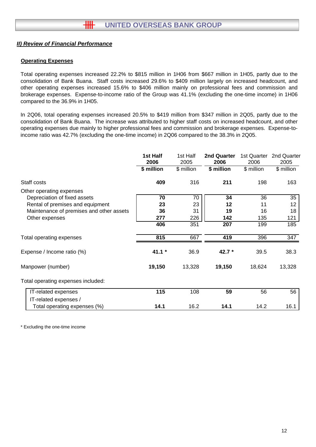#### **Operating Expenses**

Total operating expenses increased 22.2% to \$815 million in 1H06 from \$667 million in 1H05, partly due to the consolidation of Bank Buana. Staff costs increased 29.6% to \$409 million largely on increased headcount, and other operating expenses increased 15.6% to \$406 million mainly on professional fees and commission and brokerage expenses. Expense-to-income ratio of the Group was 41.1% (excluding the one-time income) in 1H06 compared to the 36.9% in 1H05.

In 2Q06, total operating expenses increased 20.5% to \$419 million from \$347 million in 2Q05, partly due to the consolidation of Bank Buana. The increase was attributed to higher staff costs on increased headcount, and other operating expenses due mainly to higher professional fees and commission and brokerage expenses. Expense-toincome ratio was 42.7% (excluding the one-time income) in 2Q06 compared to the 38.3% in 2Q05.

|                                          | 1st Half<br>2006 | 1st Half<br>2005 | 2nd Quarter<br>2006 | 1st Quarter<br>2006 | 2nd Quarter<br>2005 |
|------------------------------------------|------------------|------------------|---------------------|---------------------|---------------------|
|                                          | \$ million       | \$ million       | \$ million          | \$ million          | \$ million          |
| Staff costs                              | 409              | 316              | 211                 | 198                 | 163                 |
| Other operating expenses                 |                  |                  |                     |                     |                     |
| Depreciation of fixed assets             | 70               | 70               | 34                  | 36                  | 35                  |
| Rental of premises and equipment         | 23               | 23               | 12                  | 11                  | 12                  |
| Maintenance of premises and other assets | 36               | 31               | 19                  | 16                  | 18                  |
| Other expenses                           | 277              | 226              | 142                 | 135                 | 121                 |
|                                          | 406              | 351              | 207                 | 199                 | 185                 |
| Total operating expenses                 | 815              | 667              | 419                 | 396                 | 347                 |
| Expense / Income ratio (%)               | $41.1*$          | 36.9             | 42.7 *              | 39.5                | 38.3                |
| Manpower (number)                        | 19,150           | 13,328           | 19,150              | 18,624              | 13,328              |
| Total operating expenses included:       |                  |                  |                     |                     |                     |
| IT-related expenses                      | 115              | 108              | 59                  | 56                  | 56                  |
| IT-related expenses /                    |                  |                  |                     |                     |                     |
| Total operating expenses (%)             | 14.1             | 16.2             | 14.1                | 14.2                | 16.1                |

\* Excluding the one-time income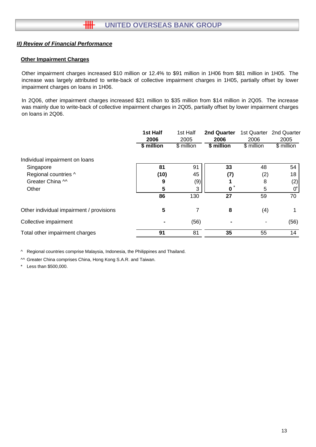## **Other Impairment Charges**

Other impairment charges increased \$10 million or 12.4% to \$91 million in 1H06 from \$81 million in 1H05. The increase was largely attributed to write-back of collective impairment charges in 1H05, partially offset by lower impairment charges on loans in 1H06.

In 2Q06, other impairment charges increased \$21 million to \$35 million from \$14 million in 2Q05. The increase was mainly due to write-back of collective impairment charges in 2Q05, partially offset by lower impairment charges on loans in 2Q06.

|                                          | 1st Half<br>2006 | 1st Half<br>2005 | <b>2nd Quarter</b><br>2006 | 1st Quarter<br>2006 | 2nd Quarter<br>2005 |
|------------------------------------------|------------------|------------------|----------------------------|---------------------|---------------------|
|                                          | \$ million       | \$ million       | \$ million                 | \$ million          | \$ million          |
| Individual impairment on loans           |                  |                  |                            |                     |                     |
| Singapore                                | 81               | 91               | 33                         | 48                  | 54                  |
| Regional countries ^                     | (10)             | 45               | (7)                        | (2)                 | 18                  |
| Greater China ^^                         | 9                | (9)              |                            | 8                   | (2)                 |
| Other                                    | 5                | 3                | $\star$<br>0               | 5                   | 0                   |
|                                          | 86               | 130              | 27                         | 59                  | 70                  |
| Other individual impairment / provisions | 5                |                  | 8                          | (4)                 |                     |
| Collective impairment                    |                  | (56)             |                            |                     | (56)                |
| Total other impairment charges           | 91               | 81               | 35                         | 55                  | 14                  |

^ Regional countries comprise Malaysia, Indonesia, the Philippines and Thailand.

^^ Greater China comprises China, Hong Kong S.A.R. and Taiwan.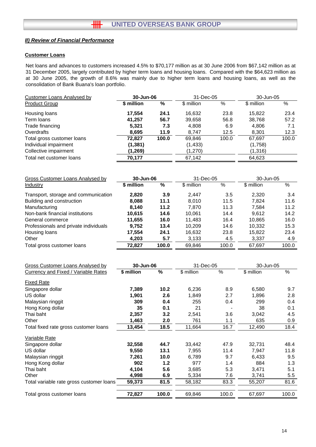#### **Customer Loans**

Net loans and advances to customers increased 4.5% to \$70,177 million as at 30 June 2006 from \$67,142 million as at 31 December 2005, largely contributed by higher term loans and housing loans. Compared with the \$64,623 million as at 30 June 2005, the growth of 8.6% was mainly due to higher term loans and housing loans, as well as the consolidation of Bank Buana's loan portfolio.

| <b>Customer Loans Analysed by</b> | 30-Jun-06  |       | 31-Dec-05  |       | 30-Jun-05  |       |
|-----------------------------------|------------|-------|------------|-------|------------|-------|
| <b>Product Group</b>              | \$ million | %     | \$ million | %     | \$ million | %     |
| Housing loans                     | 17.554     | 24.1  | 16.632     | 23.8  | 15.822     | 23.4  |
| Term loans                        | 41,257     | 56.7  | 39,658     | 56.8  | 38.768     | 57.2  |
| Trade financing                   | 5,321      | 7.3   | 4,808      | 6.9   | 4,806      | 7.1   |
| Overdrafts                        | 8.695      | 11.9  | 8.747      | 12.5  | 8,301      | 12.3  |
| Total gross customer loans        | 72.827     | 100.0 | 69,846     | 100.0 | 67,697     | 100.0 |
| Individual impairment             | (1, 381)   |       | (1, 433)   |       | (1,758)    |       |
| Collective impairment             | (1, 269)   |       | (1,270)    |       | (1,316)    |       |
| Total net customer loans          | 70.177     |       | 67,142     |       | 64,623     |       |

| Gross Customer Loans Analysed by      |            | 31-Dec-05<br>30-Jun-06 |            | 30-Jun-05 |            |       |
|---------------------------------------|------------|------------------------|------------|-----------|------------|-------|
| Industry                              | \$ million | %                      | \$ million | $\%$      | \$ million | %     |
| Transport, storage and communication  | 2,820      | 3.9                    | 2.447      | 3.5       | 2,320      | 3.4   |
| Building and construction             | 8,088      | 11.1                   | 8.010      | 11.5      | 7.824      | 11.6  |
| Manufacturing                         | 8,140      | 11.2                   | 7.870      | 11.3      | 7.584      | 11.2  |
| Non-bank financial institutions       | 10.615     | 14.6                   | 10.061     | 14.4      | 9.612      | 14.2  |
| General commerce                      | 11,655     | 16.0                   | 11.483     | 16.4      | 10,865     | 16.0  |
| Professionals and private individuals | 9.752      | 13.4                   | 10.209     | 14.6      | 10,332     | 15.3  |
| Housing loans                         | 17,554     | 24.1                   | 16,632     | 23.8      | 15,822     | 23.4  |
| Other                                 | 4,203      | 5.7                    | 3,133      | 4.5       | 3,337      | 4.9   |
| Total gross customer loans            | 72.827     | 100.0                  | 69.846     | 100.0     | 67.697     | 100.0 |

| <b>Gross Customer Loans Analysed by</b>    | 30-Jun-06  |       | 31-Dec-05  |       | 30-Jun-05  |               |
|--------------------------------------------|------------|-------|------------|-------|------------|---------------|
| <b>Currency and Fixed / Variable Rates</b> | \$ million | %     | \$ million | %     | \$ million | $\frac{1}{2}$ |
| <b>Fixed Rate</b>                          |            |       |            |       |            |               |
| Singapore dollar                           | 7,389      | 10.2  | 6,236      | 8.9   | 6,580      | 9.7           |
| US dollar                                  | 1,901      | 2.6   | 1,849      | 2.7   | 1,896      | 2.8           |
| Malaysian ringgit                          | 309        | 0.4   | 255        | 0.4   | 299        | 0.4           |
| Hong Kong dollar                           | 35         | 0.1   | 21         |       | 38         | 0.1           |
| Thai baht                                  | 2,357      | 3.2   | 2,541      | 3.6   | 3,042      | 4.5           |
| Other                                      | 1,463      | 2.0   | 761        | 1.1   | 635        | 0.9           |
| Total fixed rate gross customer loans      | 13,454     | 18.5  | 11,664     | 16.7  | 12,490     | 18.4          |
| Variable Rate                              |            |       |            |       |            |               |
| Singapore dollar                           | 32,558     | 44.7  | 33,442     | 47.9  | 32,731     | 48.4          |
| US dollar                                  | 9,550      | 13.1  | 7,955      | 11.4  | 7,947      | 11.8          |
| Malaysian ringgit                          | 7,261      | 10.0  | 6,789      | 9.7   | 6,433      | 9.5           |
| Hong Kong dollar                           | 902        | 1.2   | 977        | 1.4   | 884        | 1.3           |
| Thai baht                                  | 4,104      | 5.6   | 3,685      | 5.3   | 3,471      | 5.1           |
| Other                                      | 4,998      | 6.9   | 5,334      | 7.6   | 3,741      | 5.5           |
| Total variable rate gross customer loans   | 59,373     | 81.5  | 58,182     | 83.3  | 55,207     | 81.6          |
| Total gross customer loans                 | 72,827     | 100.0 | 69,846     | 100.0 | 67,697     | 100.0         |
|                                            |            |       |            |       |            |               |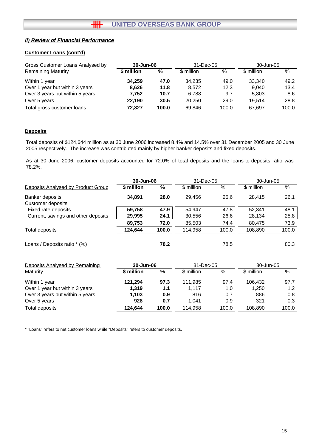#### **Customer Loans (cont'd)**

| <b>Gross Customer Loans Analysed by</b> | 30-Jun-06  |       | 31-Dec-05  |       | 30-Jun-05  |       |
|-----------------------------------------|------------|-------|------------|-------|------------|-------|
| <b>Remaining Maturity</b>               | \$ million | %     | \$ million | %     | \$ million | %     |
| Within 1 year                           | 34.259     | 47.0  | 34.235     | 49.0  | 33.340     | 49.2  |
| Over 1 year but within 3 years          | 8.626      | 11.8  | 8.572      | 12.3  | 9.040      | 13.4  |
| Over 3 years but within 5 years         | 7.752      | 10.7  | 6.788      | 9.7   | 5,803      | 8.6   |
| Over 5 years                            | 22.190     | 30.5  | 20.250     | 29.0  | 19.514     | 28.8  |
| Total gross customer loans              | 72.827     | 100.0 | 69.846     | 100.0 | 67.697     | 100.0 |

# **Deposits**

Total deposits of \$124,644 million as at 30 June 2006 increased 8.4% and 14.5% over 31 December 2005 and 30 June 2005 respectively. The increase was contributed mainly by higher banker deposits and fixed deposits.

As at 30 June 2006, customer deposits accounted for 72.0% of total deposits and the loans-to-deposits ratio was 78.2%.

|                                     | 30-Jun-06  |       | 31-Dec-05  |       | 30-Jun-05   |       |
|-------------------------------------|------------|-------|------------|-------|-------------|-------|
| Deposits Analysed by Product Group  | \$ million | %     | \$ million | %     | \$ million  | %     |
| Banker deposits                     | 34,891     | 28.0  | 29,456     | 25.6  | 28,415      | 26.1  |
| <b>Customer deposits</b>            |            |       |            |       |             |       |
| Fixed rate deposits                 | 59,758     | 47.9  | 54,947     | 47.8  | 52,341      | 48.1  |
| Current, savings and other deposits | 29,995     | 24.1  | 30,556     | 26.6  | 28,134      | 25.8  |
|                                     | 89,753     | 72.0  | 85,503     | 74.4  | 80,475      | 73.9  |
| Total deposits                      | 124,644    | 100.0 | 114,958    | 100.0 | 108,890     | 100.0 |
| Loans / Deposits ratio * (%)        |            | 78.2  |            | 78.5  |             | 80.3  |
| Deposits Analysed by Remaining      | 30-Jun-06  |       | 31-Dec-05  |       | 30-Jun-05   |       |
| Maturity                            | \$ million | %     | \$ million | $\%$  | $$$ million | $\%$  |
| Within 1 year                       | 121,294    | 97.3  | 111,985    | 97.4  | 106.432     | 97.7  |
| Over 1 year but within 3 years      | 1,319      | 1.1   | 1,117      | 1.0   | 1,250       | 1.2   |
| Over 3 years but within 5 years     | 1,103      | 0.9   | 816        | 0.7   | 886         | 0.8   |
| Over 5 years                        | 928        | 0.7   | 1,041      | 0.9   | 321         | 0.3   |

Total deposits **100.0 124,644** 100.0 114,958 108,890 100.0

\* "Loans" refers to net customer loans while "Deposits" refers to customer deposits.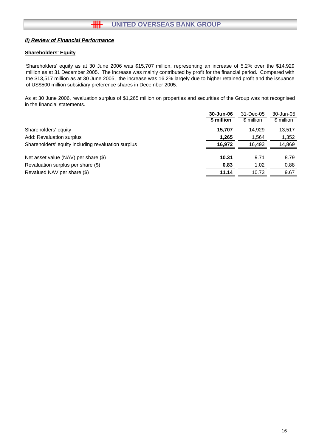#### **Shareholders' Equity**

Shareholders' equity as at 30 June 2006 was \$15,707 million, representing an increase of 5.2% over the \$14,929 million as at 31 December 2005. The increase was mainly contributed by profit for the financial period. Compared with the \$13,517 million as at 30 June 2005, the increase was 16.2% largely due to higher retained profit and the issuance of US\$500 million subsidiary preference shares in December 2005.

As at 30 June 2006, revaluation surplus of \$1,265 million on properties and securities of the Group was not recognised in the financial statements.

|                                                    | 30-Jun-06  | 31-Dec-05  | 30-Jun-05  |
|----------------------------------------------------|------------|------------|------------|
|                                                    | \$ million | \$ million | \$ million |
| Shareholders' equity                               | 15.707     | 14.929     | 13,517     |
| Add: Revaluation surplus                           | 1,265      | 1,564      | 1,352      |
| Shareholders' equity including revaluation surplus | 16,972     | 16,493     | 14,869     |
|                                                    |            |            |            |
| Net asset value (NAV) per share (\$)               | 10.31      | 9.71       | 8.79       |
| Revaluation surplus per share (\$)                 | 0.83       | 1.02       | 0.88       |
| Revalued NAV per share (\$)                        | 11.14      | 10.73      | 9.67       |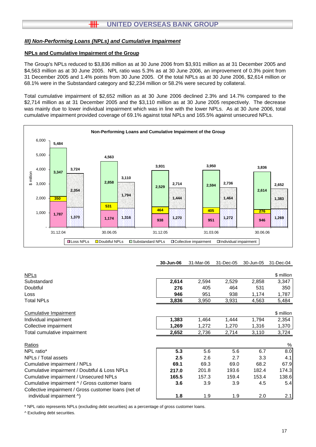#### **NPLs and Cumulative Impairment of the Group**

The Group's NPLs reduced to \$3,836 million as at 30 June 2006 from \$3,931 million as at 31 December 2005 and \$4,563 million as at 30 June 2005. NPL ratio was 5.3% as at 30 June 2006, an improvement of 0.3% point from 31 December 2005 and 1.4% points from 30 June 2005. Of the total NPLs as at 30 June 2006, \$2,614 million or 68.1% were in the Substandard category and \$2,234 million or 58.2% were secured by collateral.

Total cumulative impairment of \$2,652 million as at 30 June 2006 declined 2.3% and 14.7% compared to the \$2,714 million as at 31 December 2005 and the \$3,110 million as at 30 June 2005 respectively. The decrease was mainly due to lower individual impairment which was in line with the lower NPLs. As at 30 June 2006, total cumulative impairment provided coverage of 69.1% against total NPLs and 165.5% against unsecured NPLs.



**30-Jun-06** 31-Mar-06 31-Dec-05 30-Jun-05 31-Dec-04

| <b>NPLs</b>                                          |       |       |       |       | \$ million |
|------------------------------------------------------|-------|-------|-------|-------|------------|
| Substandard                                          | 2,614 | 2,594 | 2,529 | 2,858 | 3,347      |
| Doubtful                                             | 276   | 405   | 464   | 531   | 350        |
| Loss                                                 | 946   | 951   | 938   | 1,174 | 1,787      |
| <b>Total NPLs</b>                                    | 3,836 | 3,950 | 3,931 | 4,563 | 5,484      |
| <b>Cumulative Impairment</b>                         |       |       |       |       | \$ million |
| Individual impairment                                | 1,383 | 1,464 | 1,444 | 1,794 | 2,354      |
| Collective impairment                                | 1,269 | 1,272 | 1,270 | 1,316 | 1,370      |
| Total cumulative impairment                          | 2,652 | 2,736 | 2,714 | 3,110 | 3,724      |
| Ratios                                               |       |       |       |       | $\%$       |
| NPL ratio*                                           | 5.3   | 5.6   | 5.6   | 6.7   | 8.0        |
| NPLs / Total assets                                  | 2.5   | 2.6   | 2.7   | 3.3   | 4.1        |
| Cumulative impairment / NPLs                         | 69.1  | 69.3  | 69.0  | 68.2  | 67.9       |
| Cumulative impairment / Doubtful & Loss NPLs         | 217.0 | 201.8 | 193.6 | 182.4 | 174.3      |
| Cumulative impairment / Unsecured NPLs               | 165.5 | 157.3 | 159.4 | 153.4 | 138.6      |
| Cumulative impairment ^ / Gross customer loans       | 3.6   | 3.9   | 3.9   | 4.5   | 5.4        |
| Collective impairment / Gross customer loans (net of |       |       |       |       |            |
| individual impairment ^)                             | 1.8   | 1.9   | 1.9   | 2.0   | 2.1        |

\* NPL ratio represents NPLs (excluding debt securities) as a percentage of gross customer loans.

^ Excluding debt securities.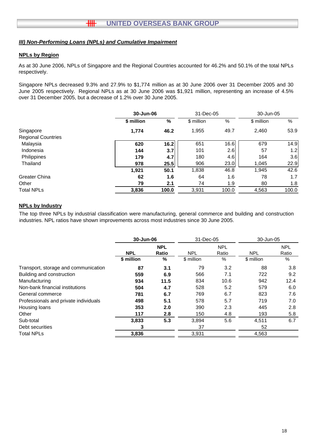#### **NPLs by Region**

As at 30 June 2006, NPLs of Singapore and the Regional Countries accounted for 46.2% and 50.1% of the total NPLs respectively.

Singapore NPLs decreased 9.3% and 27.9% to \$1,774 million as at 30 June 2006 over 31 December 2005 and 30 June 2005 respectively. Regional NPLs as at 30 June 2006 was \$1,921 million, representing an increase of 4.5% over 31 December 2005, but a decrease of 1.2% over 30 June 2005.

|                           |            | 30-Jun-06 |            | 31-Dec-05 | 30-Jun-05  |       |
|---------------------------|------------|-----------|------------|-----------|------------|-------|
|                           | \$ million | %         | \$ million | %         | \$ million | %     |
| Singapore                 | 1,774      | 46.2      | 1,955      | 49.7      | 2,460      | 53.9  |
| <b>Regional Countries</b> |            |           |            |           |            |       |
| Malaysia                  | 620        | 16.2      | 651        | 16.6      | 679        | 14.9  |
| Indonesia                 | 144        | 3.7       | 101        | 2.6       | 57         | 1.2   |
| Philippines               | 179        | 4.7       | 180        | 4.6       | 164        | 3.6   |
| Thailand                  | 978        | 25.5      | 906        | 23.0      | 1.045      | 22.9  |
|                           | 1,921      | 50.1      | 1,838      | 46.8      | 1.945      | 42.6  |
| <b>Greater China</b>      | 62         | 1.6       | 64         | 1.6       | 78         | 1.7   |
| Other                     | 79         | 2.1       | 74         | 1.9       | 80         | 1.8   |
| <b>Total NPLs</b>         | 3,836      | 100.0     | 3,931      | 100.0     | 4,563      | 100.0 |

#### **NPLs by Industry**

The top three NPLs by industrial classification were manufacturing, general commerce and building and construction industries. NPL ratios have shown improvements across most industries since 30 June 2005.

|                                       | 30-Jun-06  |                     | 31-Dec-05  |                     | 30-Jun-05  |                     |
|---------------------------------------|------------|---------------------|------------|---------------------|------------|---------------------|
|                                       | <b>NPL</b> | <b>NPL</b><br>Ratio | <b>NPL</b> | <b>NPL</b><br>Ratio | <b>NPL</b> | <b>NPL</b><br>Ratio |
|                                       | \$ million | %                   | \$ million | %                   | \$ million | %                   |
| Transport, storage and communication  | 87         | 3.1                 | 79         | 3.2                 | 88         | 3.8                 |
| Building and construction             | 559        | 6.9                 | 566        | 7.1                 | 722        | 9.2                 |
| Manufacturing                         | 934        | 11.5                | 834        | 10.6                | 942        | 12.4                |
| Non-bank financial institutions       | 504        | 4.7                 | 528        | 5.2                 | 579        | 6.0                 |
| General commerce                      | 781        | 6.7                 | 769        | 6.7                 | 823        | 7.6                 |
| Professionals and private individuals | 498        | 5.1                 | 578        | 5.7                 | 719        | 7.0                 |
| Housing loans                         | 353        | 2.0                 | 390        | 2.3                 | 445        | 2.8                 |
| Other                                 | 117        | 2.8                 | 150        | 4.8                 | 193        | 5.8                 |
| Sub-total                             | 3,833      | 5.3                 | 3,894      | 5.6                 | 4,511      | 6.7                 |
| Debt securities                       | 3          |                     | 37         |                     | 52         |                     |
| <b>Total NPLs</b>                     | 3,836      |                     | 3,931      |                     | 4,563      |                     |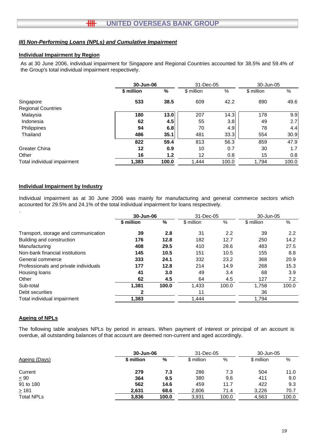#### **Individual Impairment by Region**

As at 30 June 2006, individual impairment for Singapore and Regional Countries accounted for 38.5% and 59.4% of the Group's total individual impairment respectively.

|                             | 30-Jun-06  |               | 31-Dec-05         |       | 30-Jun-05  |       |
|-----------------------------|------------|---------------|-------------------|-------|------------|-------|
|                             | \$ million | $\frac{0}{0}$ | \$ million        | %     | \$ million | %     |
| Singapore                   | 533        | 38.5          | 609               | 42.2  | 890        | 49.6  |
| <b>Regional Countries</b>   |            |               |                   |       |            |       |
| Malaysia                    | 180        | 13.0          | 207               | 14.3  | 178        | 9.9   |
| Indonesia                   | 62         | 4.5           | 55                | 3.8   | 49         | 2.7   |
| Philippines                 | 94         | 6.8           | 70                | 4.9   | 78         | 4.4   |
| Thailand                    | 486        | 35.1          | 481               | 33.3  | 554        | 30.9  |
|                             | 822        | 59.4          | 813               | 56.3  | 859        | 47.9  |
| Greater China               | 12         | 0.9           | 10                | 0.7   | 30         | 1.7   |
| Other                       | 16         | 1.2           | $12 \overline{ }$ | 0.8   | 15         | 0.8   |
| Total individual impairment | 1,383      | 100.0         | 1,444             | 100.0 | 1,794      | 100.0 |

#### **Individual Impairment by Industry**

Individual impairment as at 30 June 2006 was mainly for manufacturing and general commerce sectors which accounted for 29.5% and 24.1% of the total individual impairment for loans respectively.

|                                       | 30-Jun-06  |       | 31-Dec-05  |       | 30-Jun-05  |               |
|---------------------------------------|------------|-------|------------|-------|------------|---------------|
|                                       | \$ million | %     | \$ million | %     | \$ million | %             |
| Transport, storage and communication  | 39         | 2.8   | 31         | 2.2   | 39         | $2.2^{\circ}$ |
| Building and construction             | 176        | 12.8  | 182        | 12.7  | 250        | 14.2          |
| Manufacturing                         | 408        | 29.5  | 410        | 28.6  | 483        | 27.5          |
| Non-bank financial institutions       | 145        | 10.5  | 151        | 10.5  | 155        | 8.8           |
| General commerce                      | 333        | 24.1  | 332        | 23.2  | 368        | 20.9          |
| Professionals and private individuals | 177        | 12.8  | 214        | 14.9  | 268        | 15.3          |
| Housing loans                         | 41         | 3.0   | 49         | 3.4   | 68         | 3.9           |
| Other                                 | 62         | 4.5   | 64         | 4.5   | 127        | 7.2           |
| Sub-total                             | 1,381      | 100.0 | 1,433      | 100.0 | 1,758      | 100.0         |
| Debt securities                       | 2          |       | 11         |       | 36         |               |
| Total individual impairment           | 1,383      |       | 1,444      |       | 1,794      |               |

#### **Ageing of NPLs**

The following table analyses NPLs by period in arrears. When payment of interest or principal of an account is overdue, all outstanding balances of that account are deemed non-current and aged accordingly.

|                   |            | 30-Jun-06 |            | 31-Dec-05 | 30-Jun-05  |       |
|-------------------|------------|-----------|------------|-----------|------------|-------|
| Ageing (Days)     | \$ million | %         | \$ million | %         | \$ million | %     |
| Current           | 279        | 7.3       | 286        | 7.3       | 504        | 11.0  |
| $\leq 90$         | 364        | 9.5       | 380        | 9.6       | 411        | 9.0   |
| 91 to 180         | 562        | 14.6      | 459        | 11.7      | 422        | 9.3   |
| $\geq 181$        | 2.631      | 68.6      | 2,806      | 71.4      | 3,226      | 70.7  |
| <b>Total NPLs</b> | 3.836      | 100.0     | 3,931      | 100.0     | 4,563      | 100.0 |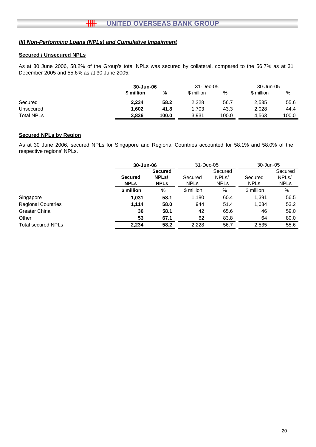## **Secured / Unsecured NPLs**

As at 30 June 2006, 58.2% of the Group's total NPLs was secured by collateral, compared to the 56.7% as at 31 December 2005 and 55.6% as at 30 June 2005.

|                   |            | 30-Jun-06 |            | 31-Dec-05 | 30-Jun-05  |       |
|-------------------|------------|-----------|------------|-----------|------------|-------|
|                   | \$ million | %         | \$ million | %         | \$ million | %     |
| Secured           | 2.234      | 58.2      | 2,228      | 56.7      | 2,535      | 55.6  |
| Unsecured         | 1.602      | 41.8      | .703       | 43.3      | 2.028      | 44.4  |
| <b>Total NPLs</b> | 3.836      | 100.0     | 3.931      | 100.0     | 4.563      | 100.0 |

## **Secured NPLs by Region**

As at 30 June 2006, secured NPLs for Singapore and Regional Countries accounted for 58.1% and 58.0% of the respective regions' NPLs.

|                           | 30-Jun-06                     |                                                     | 31-Dec-05              |                                              | 30-Jun-05              |                                              |
|---------------------------|-------------------------------|-----------------------------------------------------|------------------------|----------------------------------------------|------------------------|----------------------------------------------|
|                           | <b>Secured</b><br><b>NPLs</b> | <b>Secured</b><br>NPL <sub>s</sub> /<br><b>NPLs</b> | Secured<br><b>NPLs</b> | Secured<br>NPL <sub>s</sub> /<br><b>NPLs</b> | Secured<br><b>NPLS</b> | Secured<br>NPL <sub>s</sub> /<br><b>NPLs</b> |
|                           | \$ million                    | %                                                   | \$ million             | %                                            | \$ million             | %                                            |
| Singapore                 | 1,031                         | 58.1                                                | 1,180                  | 60.4                                         | 1,391                  | 56.5                                         |
| <b>Regional Countries</b> | 1,114                         | 58.0                                                | 944                    | 51.4                                         | 1.034                  | 53.2                                         |
| <b>Greater China</b>      | 36                            | 58.1                                                | 42                     | 65.6                                         | 46                     | 59.0                                         |
| Other                     | 53                            | 67.1                                                | 62                     | 83.8                                         | 64                     | 80.0                                         |
| <b>Total secured NPLs</b> | 2,234                         | 58.2                                                | 2,228                  | 56.7                                         | 2,535                  | 55.6                                         |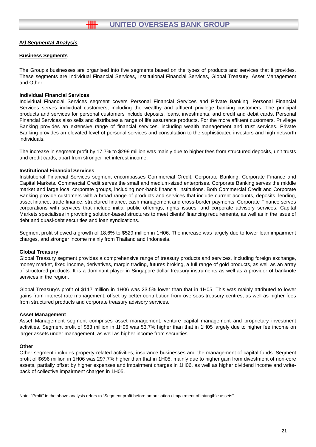#### **Business Segments**

The Group's businesses are organised into five segments based on the types of products and services that it provides. These segments are Individual Financial Services, Institutional Financial Services, Global Treasury, Asset Management and Other.

#### **Individual Financial Services**

Individual Financial Services segment covers Personal Financial Services and Private Banking. Personal Financial Services serves individual customers, including the wealthy and affluent privilege banking customers. The principal serves individual customers, including the wealthy and affluent privilege banking customers. The principal products and services for personal customers include deposits, loans, investments, and credit and debit cards. Personal Financial Services also sells and distributes a range of life assurance products. For the more affluent customers, Privilege Banking provides an extensive range of financial services, including wealth management and trust services. Private Banking provides an elevated level of personal services and consultation to the sophisticated investors and high networth individuals.

The increase in segment profit by 17.7% to \$299 million was mainly due to higher fees from structured deposits, unit trusts and credit cards, apart from stronger net interest income.

#### **Institutional Financial Services**

Institutional Financial Services segment encompasses Commercial Credit, Corporate Banking, Corporate Finance and Capital Markets. Commercial Credit serves the small and medium-sized enterprises. Corporate Banking serves the middle market and large local corporate groups, including non-bank financial institutions. Both Commercial Credit and Corporate Banking provide customers with a broad range of products and services that include current accounts, deposits, lending, asset finance, trade finance, structured finance, cash management and cross-border payments. Corporate Finance serves corporations with services that include initial public offerings, rights issues, and corporate advisory services. Capital Markets specialises in providing solution-based structures to meet clients' financing requirements, as well as in the issue of debt and quasi-debt securities and loan syndications.

Segment profit showed a growth of 18.6% to \$529 million in 1H06. The increase was largely due to lower loan impairment charges, and stronger income mainly from Thailand and Indonesia.

#### **Global Treasury**

Global Treasury segment provides a comprehensive range of treasury products and services, including foreign exchange, segment provides a comprehensive range of treasury products and services, including foreign exchange, money market, fixed income, derivatives, margin trading, futures broking, a full range of gold products, as well as an array of structured products. It is a dominant player in Singapore dollar treasury instruments as well as a provider of banknote services in the region.

Global Treasury's profit of \$117 million in 1H06 was 23.5% lower than that in 1H05. This was mainly attributed to lower gains from interest rate management, offset by better contribution from overseas treasury centres, as well as higher fees from structured products and corporate treasury advisory services.

#### **Asset Management**

Asset Management segment comprises asset management, venture capital management and proprietary investment Management segment comprises asset management, venture capital management and proprietary investment activities. Segment profit of \$83 million in 1H06 was 53.7% higher than that in 1H05 largely due to higher fee income on larger assets under management, as well as higher income from securities.

#### **Other**

Other segment includes property-related activities, insurance businesses and the management of capital funds. Segment profit of \$696 million in 1H06 was 297.7% higher than that in 1H05, mainly due to higher gain from divestment of non-core assets, partially offset by higher expenses and impairment charges in 1H06, as well as higher dividend income and writeback of collective impairment charges in 1H05.

Note: "Profit" in the above analysis refers to "Segment profit before amortisation / impairment of intangible assets".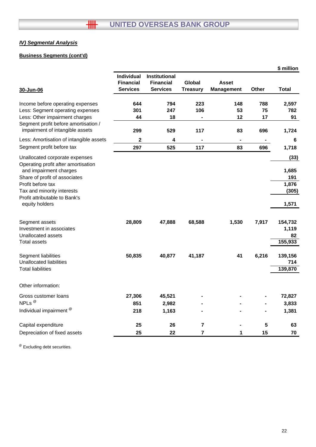# **Business Segments (cont'd)**

|                                                                         |                   |                  |                         |                   |       | \$ million   |
|-------------------------------------------------------------------------|-------------------|------------------|-------------------------|-------------------|-------|--------------|
|                                                                         | <b>Individual</b> | Institutional    |                         |                   |       |              |
|                                                                         | <b>Financial</b>  | <b>Financial</b> | Global                  | <b>Asset</b>      |       |              |
| 30-Jun-06                                                               | <b>Services</b>   | <b>Services</b>  | <b>Treasury</b>         | <b>Management</b> | Other | <b>Total</b> |
| Income before operating expenses                                        | 644               | 794              | 223                     | 148               | 788   | 2,597        |
| Less: Segment operating expenses                                        | 301               | 247              | 106                     | 53                | 75    | 782          |
| Less: Other impairment charges                                          | 44                | 18               |                         | 12                | 17    | 91           |
| Segment profit before amortisation /<br>impairment of intangible assets | 299               | 529              | 117                     | 83                | 696   | 1,724        |
| Less: Amortisation of intangible assets                                 | 2                 | 4                |                         | ۰                 |       | 6            |
| Segment profit before tax                                               | 297               | 525              | 117                     | 83                | 696   | 1,718        |
|                                                                         |                   |                  |                         |                   |       |              |
| Unallocated corporate expenses                                          |                   |                  |                         |                   |       | (33)         |
| Operating profit after amortisation<br>and impairment charges           |                   |                  |                         |                   |       | 1,685        |
| Share of profit of associates                                           |                   |                  |                         |                   |       | 191          |
| Profit before tax                                                       |                   |                  |                         |                   |       | 1,876        |
| Tax and minority interests                                              |                   |                  |                         |                   |       | (305)        |
| Profit attributable to Bank's                                           |                   |                  |                         |                   |       |              |
| equity holders                                                          |                   |                  |                         |                   |       | 1,571        |
| Segment assets                                                          | 28,809            | 47,888           | 68,588                  | 1,530             | 7,917 | 154,732      |
| Investment in associates                                                |                   |                  |                         |                   |       | 1,119        |
| Unallocated assets                                                      |                   |                  |                         |                   |       | 82           |
| Total assets                                                            |                   |                  |                         |                   |       | 155,933      |
|                                                                         |                   |                  |                         |                   |       |              |
| Segment liabilities                                                     | 50,835            | 40,877           | 41,187                  | 41                | 6,216 | 139,156      |
| <b>Unallocated liabilities</b>                                          |                   |                  |                         |                   |       | 714          |
| Total liabilities                                                       |                   |                  |                         |                   |       | 139,870      |
| Other information:                                                      |                   |                  |                         |                   |       |              |
| Gross customer loans                                                    | 27,306            | 45,521           |                         |                   |       | 72,827       |
| NPLs <sup>@</sup>                                                       | 851               | 2,982            |                         |                   |       | 3,833        |
| Individual impairment <sup>@</sup>                                      | 218               | 1,163            |                         |                   |       | 1,381        |
| Capital expenditure                                                     | 25                | 26               | $\overline{7}$          |                   | 5     | 63           |
| Depreciation of fixed assets                                            | 25                | 22               | $\overline{\mathbf{r}}$ | 1                 | 15    | 70           |

<sup>@</sup> Excluding debt securities.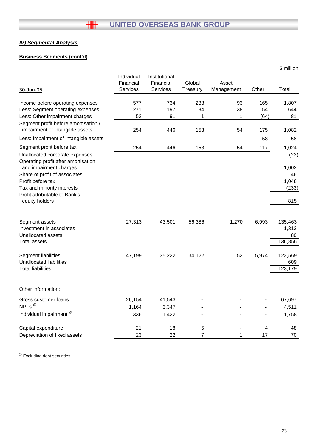# **Business Segments (cont'd)**

|                                                                         |                                     |                                               |                    |                              |       | \$ million |
|-------------------------------------------------------------------------|-------------------------------------|-----------------------------------------------|--------------------|------------------------------|-------|------------|
| 30-Jun-05                                                               | Individual<br>Financial<br>Services | Institutional<br>Financial<br><b>Services</b> | Global<br>Treasury | Asset<br>Management          | Other | Total      |
|                                                                         |                                     |                                               |                    |                              |       |            |
| Income before operating expenses                                        | 577                                 | 734                                           | 238                | 93                           | 165   | 1,807      |
| Less: Segment operating expenses                                        | 271                                 | 197                                           | 84                 | 38                           | 54    | 644        |
| Less: Other impairment charges                                          | 52                                  | 91                                            | 1                  | 1                            | (64)  | 81         |
| Segment profit before amortisation /<br>impairment of intangible assets | 254                                 | 446                                           | 153                | 54                           | 175   | 1,082      |
| Less: Impairment of intangible assets                                   |                                     |                                               |                    | $\qquad \qquad \blacksquare$ | 58    | 58         |
| Segment profit before tax                                               | 254                                 | 446                                           | 153                | 54                           | 117   | 1,024      |
| Unallocated corporate expenses                                          |                                     |                                               |                    |                              |       | (22)       |
| Operating profit after amortisation<br>and impairment charges           |                                     |                                               |                    |                              |       | 1,002      |
| Share of profit of associates                                           |                                     |                                               |                    |                              |       | 46         |
| Profit before tax                                                       |                                     |                                               |                    |                              |       | 1,048      |
| Tax and minority interests                                              |                                     |                                               |                    |                              |       | (233)      |
| Profit attributable to Bank's<br>equity holders                         |                                     |                                               |                    |                              |       | 815        |
| Segment assets                                                          | 27,313                              | 43,501                                        | 56,386             | 1,270                        | 6,993 | 135,463    |
| Investment in associates                                                |                                     |                                               |                    |                              |       | 1,313      |
| Unallocated assets                                                      |                                     |                                               |                    |                              |       | 80         |
| <b>Total assets</b>                                                     |                                     |                                               |                    |                              |       | 136,856    |
| <b>Segment liabilities</b>                                              | 47,199                              | 35,222                                        | 34,122             | 52                           | 5,974 | 122,569    |
| <b>Unallocated liabilities</b>                                          |                                     |                                               |                    |                              |       | 609        |
| <b>Total liabilities</b>                                                |                                     |                                               |                    |                              |       | 123,179    |
| Other information:                                                      |                                     |                                               |                    |                              |       |            |
| Gross customer loans                                                    | 26,154                              | 41,543                                        |                    |                              |       | 67,697     |
| NPLs <sup>@</sup>                                                       | 1,164                               | 3,347                                         |                    |                              |       | 4,511      |
| Individual impairment <sup>®</sup>                                      | 336                                 | 1,422                                         |                    |                              |       | 1,758      |
| Capital expenditure                                                     | 21                                  | 18                                            | 5                  |                              | 4     | 48         |
| Depreciation of fixed assets                                            | 23                                  | 22                                            | $\overline{7}$     | 1                            | 17    | 70         |

<sup>@</sup> Excluding debt securities.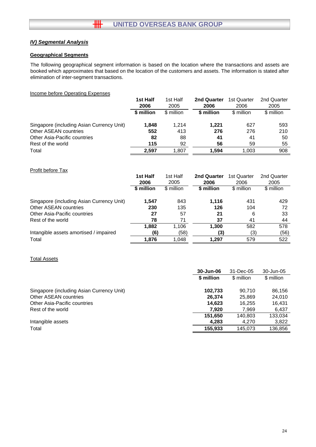#### **Geographical Segments**

The following geographical segment information is based on the location where the transactions and assets are booked which approximates that based on the location of the customers and assets. The information is stated after elimination of inter-segment transactions.

#### Income before Operating Expenses

|                                           | 1st Half   | 1st Half   | 2nd Quarter | 1st Quarter | 2nd Quarter |
|-------------------------------------------|------------|------------|-------------|-------------|-------------|
|                                           | 2006       | 2005       | 2006        | 2006        | 2005        |
|                                           | \$ million | \$ million | \$ million  | \$ million  | \$ million  |
| Singapore (including Asian Currency Unit) | 1,848      | 1.214      | 1.221       | 627         | 593         |
| Other ASEAN countries                     | 552        | 413        | 276         | 276         | 210         |
| Other Asia-Pacific countries              | 82         | 88         | 41          | 41          | 50          |
| Rest of the world                         | 115        | 92         | 56          | 59          | 55          |
| Total                                     | 2.597      | 1.807      | 1.594       | 1.003       | 908         |

#### Profit before Tax

|                                           | 1st Half   | 1st Half   | <b>2nd Quarter</b> | 1st Quarter | 2nd Quarter |
|-------------------------------------------|------------|------------|--------------------|-------------|-------------|
|                                           | 2006       | 2005       | 2006               | 2006        | 2005        |
|                                           | \$ million | \$ million | \$ million         | \$ million  | \$ million  |
| Singapore (including Asian Currency Unit) | 1.547      | 843        | 1.116              | 431         | 429         |
| Other ASEAN countries                     | 230        | 135        | 126                | 104         | 72          |
| <b>Other Asia-Pacific countries</b>       | 27         | 57         | 21                 | 6           | 33          |
| Rest of the world                         | 78         | 71         | 37                 | 41          | 44          |
|                                           | 1.882      | 1.106      | 1.300              | 582         | 578         |
| Intangible assets amortised / impaired    | (6)        | (58)       | (3)                | (3)         | (56)        |
| Total                                     | 1,876      | 1,048      | 1.297              | 579         | 522         |

#### Total Assets

|                                           | 30-Jun-06  |            | 30-Jun-05  |
|-------------------------------------------|------------|------------|------------|
|                                           | \$ million | \$ million | \$ million |
| Singapore (including Asian Currency Unit) | 102,733    | 90.710     | 86,156     |
| Other ASEAN countries                     | 26.374     | 25,869     | 24,010     |
| Other Asia-Pacific countries              | 14.623     | 16,255     | 16.431     |
| Rest of the world                         | 7.920      | 7,969      | 6,437      |
|                                           | 151.650    | 140.803    | 133.034    |
| Intangible assets                         | 4,283      | 4.270      | 3,822      |
| Total                                     | 155.933    | 145,073    | 136,856    |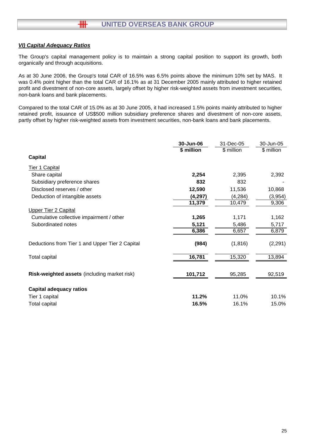#### *VI) Capital Adequacy Ratios*

卌

The Group's capital management policy is to maintain a strong capital position to support its growth, both organically and through acquisitions.

As at 30 June 2006, the Group's total CAR of 16.5% was 6.5% points above the minimum 10% set by MAS. It was 0.4% point higher than the total CAR of 16.1% as at 31 December 2005 mainly attributed to higher retained profit and divestment of non-core assets, largely offset by higher risk-weighted assets from investment securities, non-bank loans and bank placements.

Compared to the total CAR of 15.0% as at 30 June 2005, it had increased 1.5% points mainly attributed to higher retained profit, issuance of US\$500 million subsidiary preference shares and divestment of non-core assets, partly offset by higher risk-weighted assets from investment securities, non-bank loans and bank placements.

|                                                 | 30-Jun-06  | 31-Dec-05   | 30-Jun-05  |
|-------------------------------------------------|------------|-------------|------------|
|                                                 | \$ million | $$$ million | \$ million |
| <b>Capital</b>                                  |            |             |            |
| <b>Tier 1 Capital</b>                           |            |             |            |
| Share capital                                   | 2,254      | 2,395       | 2,392      |
| Subsidiary preference shares                    | 832        | 832         |            |
| Disclosed reserves / other                      | 12,590     | 11,536      | 10,868     |
| Deduction of intangible assets                  | (4, 297)   | (4, 284)    | (3,954)    |
|                                                 | 11,379     | 10,479      | 9,306      |
| <b>Upper Tier 2 Capital</b>                     |            |             |            |
| Cumulative collective impairment / other        | 1,265      | 1,171       | 1,162      |
| Subordinated notes                              | 5,121      | 5,486       | 5,717      |
|                                                 | 6,386      | 6,657       | 6,879      |
| Deductions from Tier 1 and Upper Tier 2 Capital | (984)      | (1, 816)    | (2, 291)   |
| Total capital                                   | 16,781     | 15,320      | 13,894     |
|                                                 |            |             |            |
| Risk-weighted assets (including market risk)    | 101,712    | 95,285      | 92,519     |
| <b>Capital adequacy ratios</b>                  |            |             |            |
| Tier 1 capital                                  | 11.2%      | 11.0%       | 10.1%      |
| <b>Total capital</b>                            | 16.5%      | 16.1%       | 15.0%      |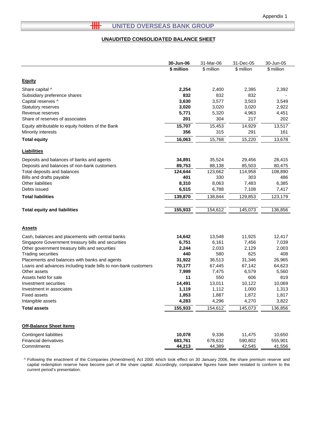L

#### **UNAUDITED CONSOLIDATED BALANCE SHEET**

|                                                                | 30-Jun-06  | 31-Mar-06  | 31-Dec-05  | 30-Jun-05  |
|----------------------------------------------------------------|------------|------------|------------|------------|
|                                                                | \$ million | \$ million | \$ million | \$ million |
| <b>Equity</b>                                                  |            |            |            |            |
| Share capital ^                                                | 2,254      | 2,400      | 2,395      | 2,392      |
| Subsidiary preference shares                                   | 832        | 832        | 832        |            |
| Capital reserves ^                                             | 3,630      | 3,577      | 3,503      | 3,549      |
| Statutory reserves                                             | 3,020      | 3,020      | 3,020      | 2,922      |
| Revenue reserves                                               | 5,771      | 5,320      | 4,963      | 4,451      |
| Share of reserves of associates                                | 201        | 304        | 217        | 202        |
| Equity attributable to equity holders of the Bank              | 15,707     | 15,453     | 14,929     | 13,517     |
| Minority interests                                             | 356        | 315        | 291        | 161        |
| <b>Total equity</b>                                            | 16,063     | 15,768     | 15,220     | 13,678     |
| <b>Liabilities</b>                                             |            |            |            |            |
| Deposits and balances of banks and agents                      | 34,891     | 35,524     | 29,456     | 28,415     |
| Deposits and balances of non-bank customers                    | 89,753     | 88,138     | 85,503     | 80,475     |
| Total deposits and balances                                    | 124,644    | 123,662    | 114,958    | 108,890    |
| Bills and drafts payable                                       | 401        | 330        | 303        | 486        |
| Other liabilities                                              | 8,310      | 8,063      | 7,483      | 6,385      |
| Debts issued                                                   | 6,515      | 6,788      | 7,108      | 7,417      |
| <b>Total liabilities</b>                                       | 139,870    | 138,844    | 129,853    | 123,179    |
| <b>Total equity and liabilities</b>                            | 155,933    | 154,612    | 145,073    | 136,856    |
|                                                                |            |            |            |            |
| <b>Assets</b>                                                  |            |            |            |            |
| Cash, balances and placements with central banks               | 14,642     | 13,548     | 11,925     | 12,417     |
| Singapore Government treasury bills and securities             | 6,751      | 6,161      | 7,456      | 7,039      |
| Other government treasury bills and securities                 | 2,244      | 2,033      | 2,129      | 2,003      |
| <b>Trading securities</b>                                      | 440        | 580        | 625        | 408        |
| Placements and balances with banks and agents                  | 31,922     | 36,513     | 31,346     | 26,965     |
| Loans and advances including trade bills to non-bank customers | 70,177     | 67,445     | 67,142     | 64,623     |
| Other assets                                                   | 7,999      | 7,475      | 6,579      | 5,560      |
| Assets held for sale                                           | 11         | 550        | 606        | 819        |
| Investment securities                                          | 14,491     | 13,011     | 10,122     | 10,069     |
| Investment in associates                                       | 1,119      | 1,112      | 1,000      | 1,313      |
| Fixed assets                                                   | 1,853      | 1,887      | 1,872      | 1,817      |
| Intangible assets                                              | 4,283      | 4,296      | 4,270      | 3,822      |
| <b>Total assets</b>                                            | 155,933    | 154,612    | 145,073    | 136,856    |
| <b>Off-Balance Sheet Items</b>                                 |            |            |            |            |
| <b>Contingent liabilities</b>                                  | 10,078     | 9,336      | 11,475     | 10,650     |
| <b>Financial derivatives</b>                                   | 683,761    | 678,632    | 590,802    | 555,901    |
| Commitments                                                    | 44,213     | 44,389     | 42,545     | 41,556     |

^ Following the enactment of the Companies (Amendment) Act 2005 which took effect on 30 January 2006, the share premium reserve and capital redemption reserve have become part of the share capital. Accordingly, comparative figures have been restated to conform to the current period's presentation.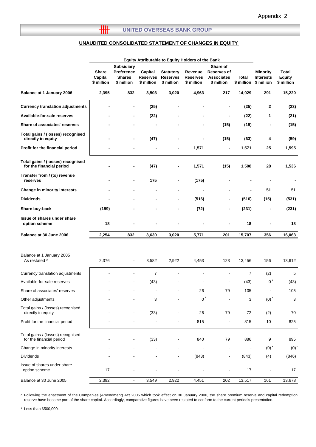# **UNAUDITED CONSOLIDATED STATEMENT OF CHANGES IN EQUITY**

 $H$ 

|                                                               | <b>Equity Attributable to Equity Holders of the Bank</b> |                                                                |                                          |                                                   |                                          |                                                                   |                            |                                                   |                                      |
|---------------------------------------------------------------|----------------------------------------------------------|----------------------------------------------------------------|------------------------------------------|---------------------------------------------------|------------------------------------------|-------------------------------------------------------------------|----------------------------|---------------------------------------------------|--------------------------------------|
|                                                               | <b>Share</b><br>Capital<br>\$ million                    | <b>Subsidiary</b><br>Preference<br><b>Shares</b><br>\$ million | Capital<br><b>Reserves</b><br>\$ million | <b>Statutory</b><br><b>Reserves</b><br>\$ million | Revenue<br><b>Reserves</b><br>\$ million | Share of<br><b>Reserves of</b><br><b>Associates</b><br>\$ million | <b>Total</b><br>\$ million | <b>Minority</b><br><b>Interests</b><br>\$ million | Total<br><b>Equity</b><br>\$ million |
| Balance at 1 January 2006                                     | 2,395                                                    | 832                                                            | 3,503                                    | 3,020                                             | 4,963                                    | 217                                                               | 14,929                     | 291                                               | 15,220                               |
| <b>Currency translation adjustments</b>                       |                                                          | $\overline{a}$                                                 | (25)                                     |                                                   |                                          | $\blacksquare$                                                    | (25)                       | 2                                                 | (23)                                 |
| Available-for-sale reserves                                   |                                                          | $\blacksquare$                                                 | (22)                                     |                                                   |                                          | $\blacksquare$                                                    | (22)                       | 1                                                 | (21)                                 |
| <b>Share of associates' reserves</b>                          |                                                          |                                                                |                                          |                                                   | $\blacksquare$                           | (15)                                                              | (15)                       | $\qquad \qquad \blacksquare$                      | (15)                                 |
| Total gains / (losses) recognised<br>directly in equity       |                                                          |                                                                | (47)                                     |                                                   |                                          | (15)                                                              | (63)                       | 4                                                 | (59)                                 |
| Profit for the financial period                               |                                                          |                                                                |                                          | $\blacksquare$                                    | 1,571                                    | $\blacksquare$                                                    | 1,571                      | 25                                                | 1,595                                |
| Total gains / (losses) recognised<br>for the financial period |                                                          |                                                                | (47)                                     |                                                   | 1,571                                    | (15)                                                              | 1,508                      | 28                                                | 1,536                                |
| Transfer from / (to) revenue<br>reserves                      |                                                          |                                                                | 175                                      |                                                   | (175)                                    |                                                                   |                            |                                                   |                                      |
| Change in minority interests                                  |                                                          |                                                                |                                          |                                                   |                                          |                                                                   |                            | 51                                                | 51                                   |
| <b>Dividends</b>                                              |                                                          |                                                                |                                          | $\qquad \qquad \blacksquare$                      | (516)                                    |                                                                   | (516)                      | (15)                                              | (531)                                |
| Share buy-back                                                | (159)                                                    |                                                                |                                          |                                                   | (72)                                     |                                                                   | (231)                      |                                                   | (231)                                |
| Issue of shares under share<br>option scheme                  | 18                                                       |                                                                |                                          |                                                   |                                          |                                                                   | 18                         |                                                   | 18                                   |
| Balance at 30 June 2006                                       | 2,254                                                    | 832                                                            | 3,630                                    | 3,020                                             | 5,771                                    | 201                                                               | 15,707                     | 356                                               | 16,063                               |
|                                                               |                                                          |                                                                |                                          |                                                   |                                          |                                                                   |                            |                                                   |                                      |
| Balance at 1 January 2005<br>As restated ^                    | 2,376                                                    |                                                                | 3,582                                    | 2,922                                             | 4,453                                    | 123                                                               | 13,456                     | 156                                               | 13,612                               |
| Currency translation adjustments                              |                                                          |                                                                | 7                                        |                                                   |                                          |                                                                   | $\overline{7}$             | (2)                                               | 5                                    |
| Available-for-sale reserves                                   |                                                          |                                                                | (43)                                     |                                                   |                                          | $\blacksquare$                                                    | (43)                       | $0^*$                                             | (43)                                 |
| Share of associates' reserves                                 |                                                          |                                                                |                                          |                                                   | 26                                       | 79                                                                | 105                        | $\blacksquare$                                    | 105                                  |
| Other adjustments                                             |                                                          |                                                                | 3                                        |                                                   | $^{\circ}$                               |                                                                   | 3                          | $(0)$ <sup>*</sup>                                | 3                                    |
| Total gains / (losses) recognised<br>directly in equity       |                                                          |                                                                | (33)                                     |                                                   | 26                                       | 79                                                                | 72                         | (2)                                               | 70                                   |
| Profit for the financial period                               |                                                          |                                                                |                                          |                                                   | 815                                      | $\overline{\phantom{a}}$                                          | 815                        | 10                                                | 825                                  |
| Total gains / (losses) recognised<br>for the financial period |                                                          |                                                                | (33)                                     |                                                   | 840                                      | 79                                                                | 886                        | 9                                                 | 895                                  |
| Change in minority interests                                  |                                                          |                                                                |                                          |                                                   |                                          | $\overline{\phantom{a}}$                                          |                            | $(0)$ <sup>*</sup>                                | (0) <sup>1</sup>                     |
| Dividends                                                     |                                                          |                                                                |                                          |                                                   | (843)                                    |                                                                   | (843)                      | (4)                                               | (846)                                |
| Issue of shares under share<br>option scheme                  | 17                                                       |                                                                |                                          |                                                   |                                          |                                                                   | 17                         |                                                   | 17                                   |
| Balance at 30 June 2005                                       | 2,392                                                    | $\blacksquare$                                                 | 3,549                                    | 2,922                                             | 4,451                                    | 202                                                               | 13,517                     | 161                                               | 13,678                               |

^ Following the enactment of the Companies (Amendment) Act 2005 which took effect on 30 January 2006, the share premium reserve and capital redemption reserve have become part of the share capital. Accordingly, comparative figures have been restated to conform to the current period's presentation.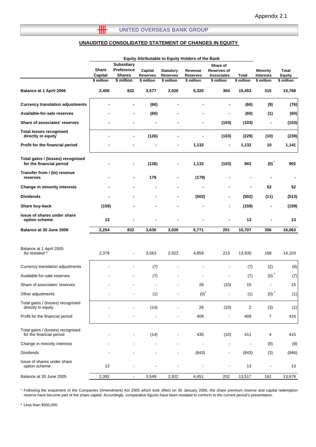#### **UNITED OVERSEAS BANK GROUP**

 $\overline{\mathbf{H}}$ 

#### **UNAUDITED CONSOLIDATED STATEMENT OF CHANGES IN EQUITY**

|                                                               | Equity Attributable to Equity Holders of the Bank |                                                  |                            |                                     |                     |                                              |            |                                     |                 |
|---------------------------------------------------------------|---------------------------------------------------|--------------------------------------------------|----------------------------|-------------------------------------|---------------------|----------------------------------------------|------------|-------------------------------------|-----------------|
|                                                               | <b>Share</b><br>Capital                           | <b>Subsidiary</b><br>Preference<br><b>Shares</b> | Capital<br><b>Reserves</b> | <b>Statutory</b><br><b>Reserves</b> | Revenue<br>Reserves | Share of<br>Reserves of<br><b>Associates</b> | Total      | <b>Minority</b><br><b>Interests</b> | Total<br>Equity |
|                                                               | \$ million                                        | \$ million                                       | \$ million                 | \$ million                          | \$ million          | \$ million                                   | \$ million | \$ million                          | \$ million      |
| Balance at 1 April 2006                                       | 2,400                                             | 832                                              | 3,577                      | 3,020                               | 5,320               | 304                                          | 15,453     | 315                                 | 15,768          |
| <b>Currency translation adjustments</b>                       |                                                   |                                                  | (66)                       |                                     |                     |                                              | (66)       | (9)                                 | (76)            |
| Available-for-sale reserves                                   |                                                   |                                                  | (60)                       |                                     |                     |                                              | (60)       | (1)                                 | (60)            |
| Share of associates' reserves                                 |                                                   |                                                  | $\overline{a}$             |                                     |                     | (103)                                        | (103)      | $\blacksquare$                      | (103)           |
| <b>Total losses recognised</b><br>directly in equity          |                                                   |                                                  | (126)                      |                                     | $\blacksquare$      | (103)                                        | (229)      | (10)                                | (239)           |
| Profit for the financial period                               |                                                   |                                                  |                            |                                     | 1,132               | $\overline{\phantom{0}}$                     | 1,132      | 10                                  | 1,141           |
| Total gains / (losses) recognised<br>for the financial period |                                                   |                                                  | (126)                      |                                     | 1,132               | (103)                                        | 902        | (0)                                 | 902             |
| Transfer from / (to) revenue<br>reserves                      |                                                   |                                                  | 179                        |                                     | (179)               |                                              |            |                                     |                 |
| Change in minority interests                                  |                                                   |                                                  |                            |                                     |                     |                                              |            | 52                                  | 52              |
| <b>Dividends</b>                                              |                                                   |                                                  |                            |                                     | (502)               |                                              | (502)      | (11)                                | (513)           |
| Share buy-back                                                | (159)                                             |                                                  |                            |                                     |                     |                                              | (159)      |                                     | (159)           |
| <b>Issue of shares under share</b><br>option scheme           | 13                                                |                                                  |                            |                                     |                     |                                              | 13         |                                     | 13              |
| Balance at 30 June 2006                                       | 2,254                                             | 832                                              | 3,630                      | 3,020                               | 5,771               | 201                                          | 15,707     | 356                                 | 16,063          |
|                                                               |                                                   |                                                  |                            |                                     |                     |                                              |            |                                     |                 |
| Balance at 1 April 2005<br>As restated ^                      | 2,379                                             |                                                  | 3,563                      | 2,922                               | 4,859               | 213                                          | 13,935     | 168                                 | 14,103          |
| Currency translation adjustments                              |                                                   |                                                  | (7)                        |                                     |                     |                                              | (7)        | (2)                                 | (8)             |
| Available-for-sale reserves                                   |                                                   |                                                  | (7)                        |                                     |                     |                                              | (7)        | (0)                                 | (7)             |
| Share of associates' reserves                                 |                                                   |                                                  |                            |                                     | 26                  | (10)                                         | 15         |                                     | 15              |
| Other adjustments                                             |                                                   |                                                  | (1)                        |                                     | $(0)*$              | $\sim$ $\sim$                                | (1)        | (0)                                 | (1)             |
| Total gains / (losses) recognised<br>directly in equity       |                                                   |                                                  | (14)                       |                                     | 26                  | (10)                                         | $\sqrt{2}$ | (3)                                 | (1)             |
| Profit for the financial period                               |                                                   |                                                  |                            |                                     | 409                 |                                              | 409        | 7                                   | 416             |
| Total gains / (losses) recognised<br>for the financial period |                                                   |                                                  | (14)                       |                                     | 435                 | (10)                                         | 411        | 4                                   | 415             |
| Change in minority interests                                  |                                                   |                                                  |                            |                                     |                     |                                              |            | (8)                                 | (8)             |
| <b>Dividends</b>                                              |                                                   |                                                  |                            |                                     | (843)               | $\overline{\phantom{a}}$                     | (843)      | (3)                                 | (846)           |
| Issue of shares under share<br>option scheme                  | 13                                                |                                                  |                            |                                     |                     |                                              | 13         |                                     | 13              |
| Balance at 30 June 2005                                       | 2,392                                             | $\overline{\phantom{a}}$                         | 3,549                      | 2,922                               | 4,451               | 202                                          | 13,517     | 161                                 | 13,678          |

^ Following the enactment of the Companies (Amendment) Act 2005 which took effect on 30 January 2006, the share premium reserve and capital redemption reserve have become part of the share capital. Accordingly, comparative figures have been restated to conform to the current period's presentation.